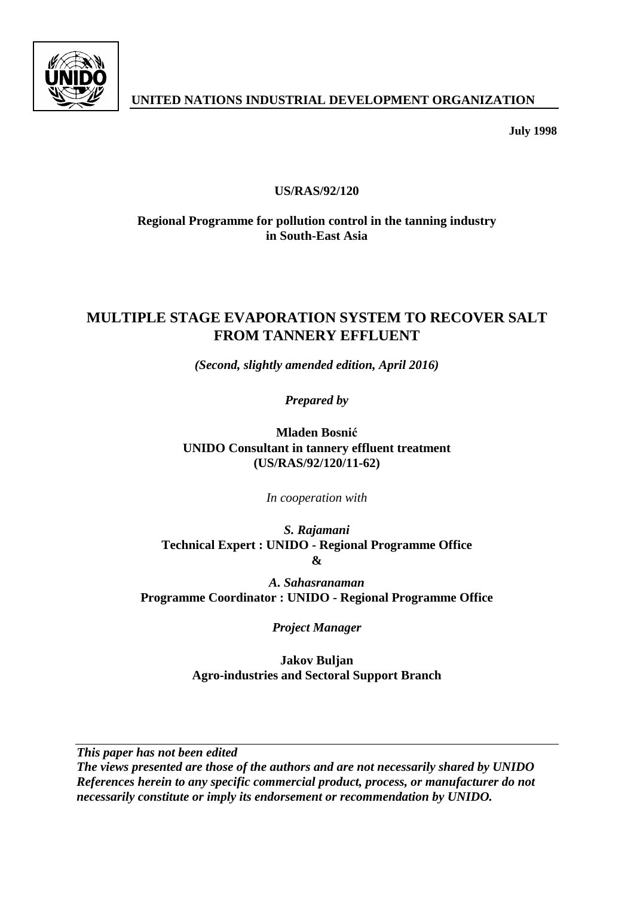

**July 1998**

# **US/RAS/92/120**

# **Regional Programme for pollution control in the tanning industry in South-East Asia**

# **MULTIPLE STAGE EVAPORATION SYSTEM TO RECOVER SALT FROM TANNERY EFFLUENT**

*(Second, slightly amended edition, April 2016)*

*Prepared by*

**Mladen Bosnić UNIDO Consultant in tannery effluent treatment (US/RAS/92/120/11-62)**

*In cooperation with* 

*S. Rajamani* **Technical Expert : UNIDO - Regional Programme Office &**

*A. Sahasranaman* **Programme Coordinator : UNIDO - Regional Programme Office**

*Project Manager*

**Jakov Buljan Agro-industries and Sectoral Support Branch**

*This paper has not been edited*

*The views presented are those of the authors and are not necessarily shared by UNIDO References herein to any specific commercial product, process, or manufacturer do not necessarily constitute or imply its endorsement or recommendation by UNIDO.*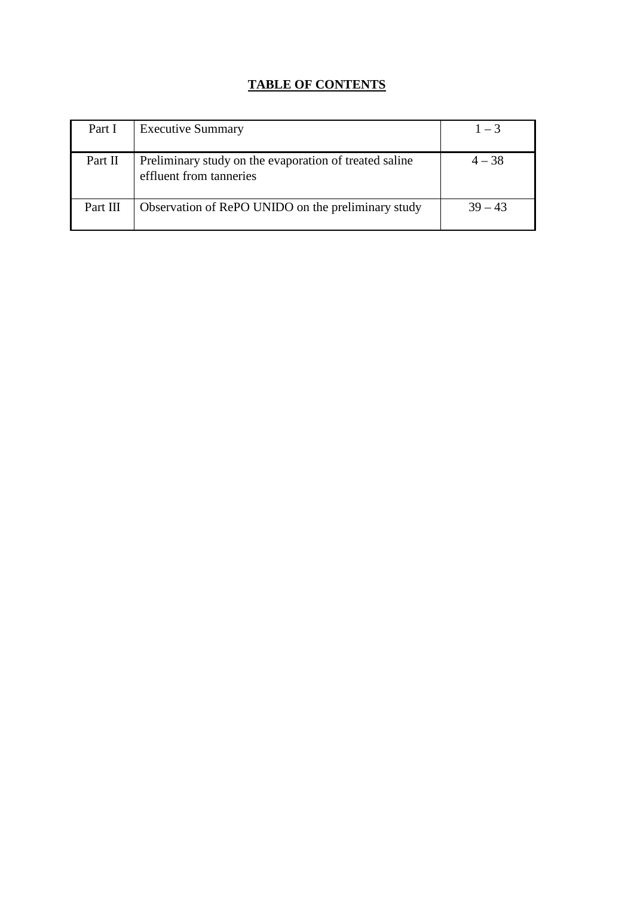# **TABLE OF CONTENTS**

| Part I   | <b>Executive Summary</b>                                                          | $1 - 3$   |
|----------|-----------------------------------------------------------------------------------|-----------|
| Part II  | Preliminary study on the evaporation of treated saline<br>effluent from tanneries | $4 - 38$  |
| Part III | Observation of RePO UNIDO on the preliminary study                                | $39 - 43$ |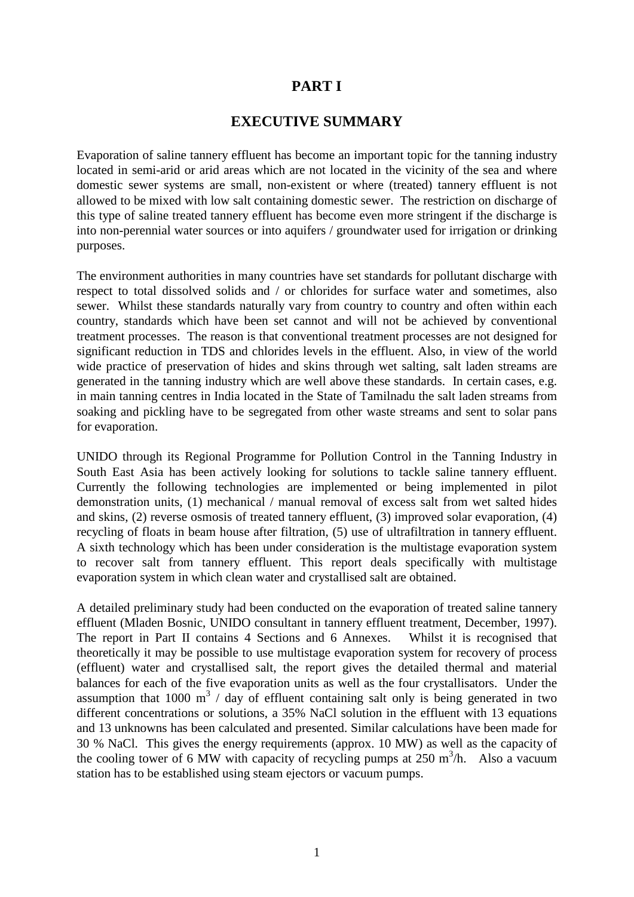# **PART I**

### **EXECUTIVE SUMMARY**

Evaporation of saline tannery effluent has become an important topic for the tanning industry located in semi-arid or arid areas which are not located in the vicinity of the sea and where domestic sewer systems are small, non-existent or where (treated) tannery effluent is not allowed to be mixed with low salt containing domestic sewer. The restriction on discharge of this type of saline treated tannery effluent has become even more stringent if the discharge is into non-perennial water sources or into aquifers / groundwater used for irrigation or drinking purposes.

The environment authorities in many countries have set standards for pollutant discharge with respect to total dissolved solids and / or chlorides for surface water and sometimes, also sewer. Whilst these standards naturally vary from country to country and often within each country, standards which have been set cannot and will not be achieved by conventional treatment processes. The reason is that conventional treatment processes are not designed for significant reduction in TDS and chlorides levels in the effluent. Also, in view of the world wide practice of preservation of hides and skins through wet salting, salt laden streams are generated in the tanning industry which are well above these standards. In certain cases, e.g. in main tanning centres in India located in the State of Tamilnadu the salt laden streams from soaking and pickling have to be segregated from other waste streams and sent to solar pans for evaporation.

UNIDO through its Regional Programme for Pollution Control in the Tanning Industry in South East Asia has been actively looking for solutions to tackle saline tannery effluent. Currently the following technologies are implemented or being implemented in pilot demonstration units, (1) mechanical / manual removal of excess salt from wet salted hides and skins, (2) reverse osmosis of treated tannery effluent, (3) improved solar evaporation, (4) recycling of floats in beam house after filtration, (5) use of ultrafiltration in tannery effluent. A sixth technology which has been under consideration is the multistage evaporation system to recover salt from tannery effluent. This report deals specifically with multistage evaporation system in which clean water and crystallised salt are obtained.

A detailed preliminary study had been conducted on the evaporation of treated saline tannery effluent (Mladen Bosnic, UNIDO consultant in tannery effluent treatment, December, 1997). The report in Part II contains 4 Sections and 6 Annexes. Whilst it is recognised that theoretically it may be possible to use multistage evaporation system for recovery of process (effluent) water and crystallised salt, the report gives the detailed thermal and material balances for each of the five evaporation units as well as the four crystallisators. Under the assumption that 1000  $m^3$  / day of effluent containing salt only is being generated in two different concentrations or solutions, a 35% NaCl solution in the effluent with 13 equations and 13 unknowns has been calculated and presented. Similar calculations have been made for 30 % NaCl. This gives the energy requirements (approx. 10 MW) as well as the capacity of the cooling tower of 6 MW with capacity of recycling pumps at 250 m<sup>3</sup>/h. Also a vacuum station has to be established using steam ejectors or vacuum pumps.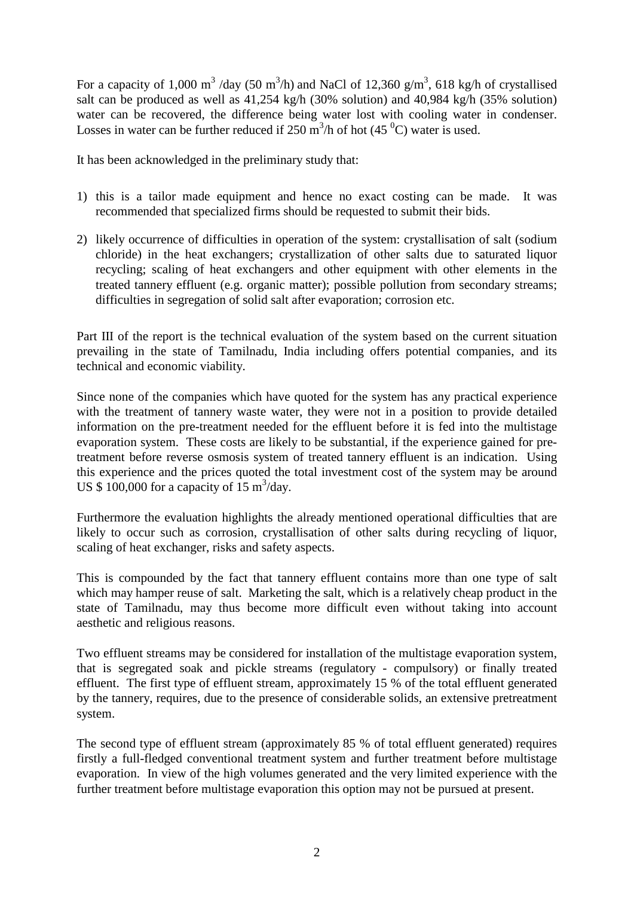For a capacity of 1,000 m<sup>3</sup>/day (50 m<sup>3</sup>/h) and NaCl of 12,360 g/m<sup>3</sup>, 618 kg/h of crystallised salt can be produced as well as 41,254 kg/h (30% solution) and 40,984 kg/h (35% solution) water can be recovered, the difference being water lost with cooling water in condenser. Losses in water can be further reduced if  $250 \text{ m}^3/\text{h}$  of hot  $(45 \text{ }^0\text{C})$  water is used.

It has been acknowledged in the preliminary study that:

- 1) this is a tailor made equipment and hence no exact costing can be made. It was recommended that specialized firms should be requested to submit their bids.
- 2) likely occurrence of difficulties in operation of the system: crystallisation of salt (sodium chloride) in the heat exchangers; crystallization of other salts due to saturated liquor recycling; scaling of heat exchangers and other equipment with other elements in the treated tannery effluent (e.g. organic matter); possible pollution from secondary streams; difficulties in segregation of solid salt after evaporation; corrosion etc.

Part III of the report is the technical evaluation of the system based on the current situation prevailing in the state of Tamilnadu, India including offers potential companies, and its technical and economic viability.

Since none of the companies which have quoted for the system has any practical experience with the treatment of tannery waste water, they were not in a position to provide detailed information on the pre-treatment needed for the effluent before it is fed into the multistage evaporation system. These costs are likely to be substantial, if the experience gained for pretreatment before reverse osmosis system of treated tannery effluent is an indication. Using this experience and the prices quoted the total investment cost of the system may be around US  $$100,000$  for a capacity of 15 m<sup>3</sup>/day.

Furthermore the evaluation highlights the already mentioned operational difficulties that are likely to occur such as corrosion, crystallisation of other salts during recycling of liquor, scaling of heat exchanger, risks and safety aspects.

This is compounded by the fact that tannery effluent contains more than one type of salt which may hamper reuse of salt. Marketing the salt, which is a relatively cheap product in the state of Tamilnadu, may thus become more difficult even without taking into account aesthetic and religious reasons.

Two effluent streams may be considered for installation of the multistage evaporation system, that is segregated soak and pickle streams (regulatory - compulsory) or finally treated effluent. The first type of effluent stream, approximately 15 % of the total effluent generated by the tannery, requires, due to the presence of considerable solids, an extensive pretreatment system.

The second type of effluent stream (approximately 85 % of total effluent generated) requires firstly a full-fledged conventional treatment system and further treatment before multistage evaporation. In view of the high volumes generated and the very limited experience with the further treatment before multistage evaporation this option may not be pursued at present.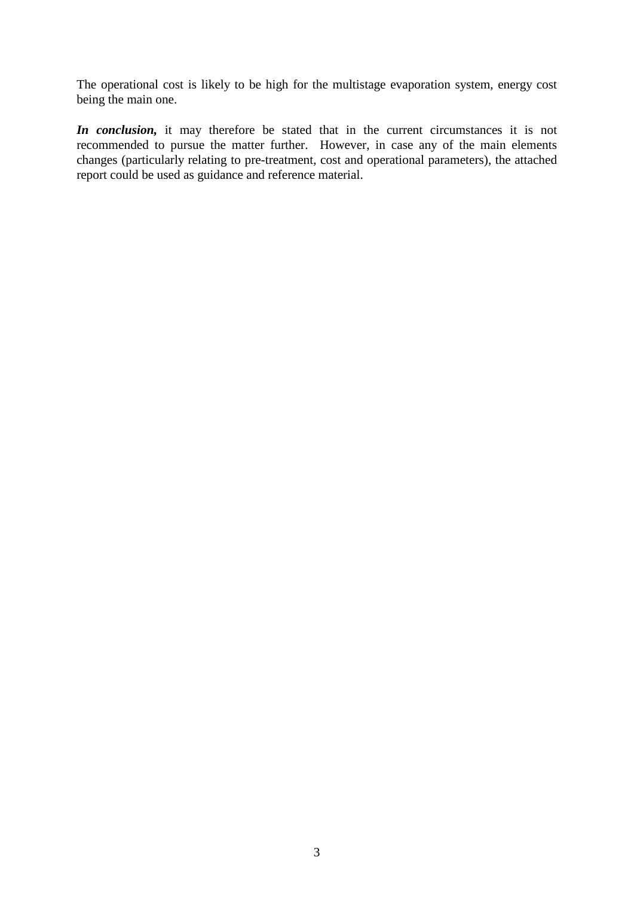The operational cost is likely to be high for the multistage evaporation system, energy cost being the main one.

*In conclusion,* it may therefore be stated that in the current circumstances it is not recommended to pursue the matter further. However, in case any of the main elements changes (particularly relating to pre-treatment, cost and operational parameters), the attached report could be used as guidance and reference material.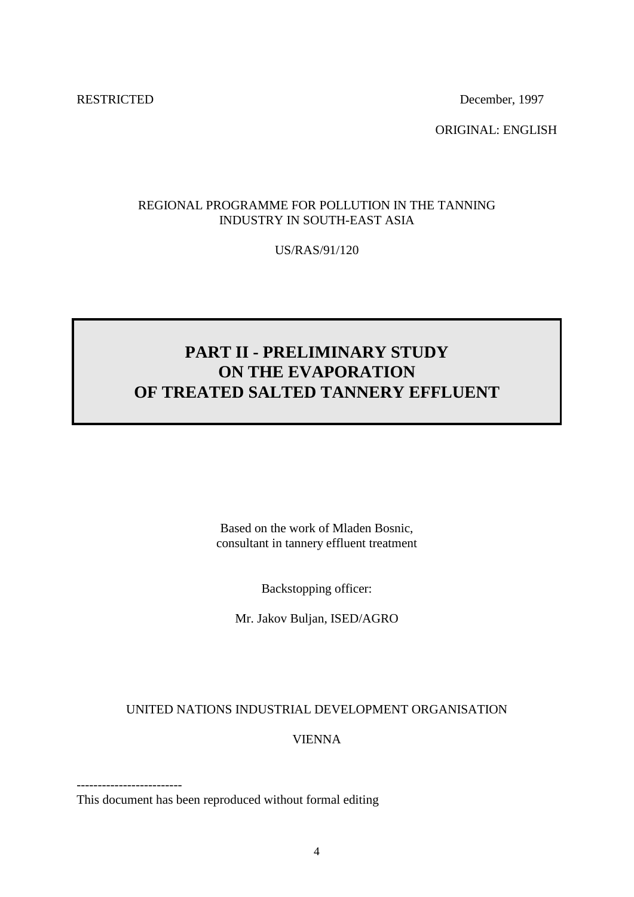RESTRICTED December, 1997

ORIGINAL: ENGLISH

### REGIONAL PROGRAMME FOR POLLUTION IN THE TANNING INDUSTRY IN SOUTH-EAST ASIA

US/RAS/91/120

# **PART II - PRELIMINARY STUDY ON THE EVAPORATION OF TREATED SALTED TANNERY EFFLUENT**

Based on the work of Mladen Bosnic, consultant in tannery effluent treatment

Backstopping officer:

Mr. Jakov Buljan, ISED/AGRO

#### UNITED NATIONS INDUSTRIAL DEVELOPMENT ORGANISATION

VIENNA

------------------------- This document has been reproduced without formal editing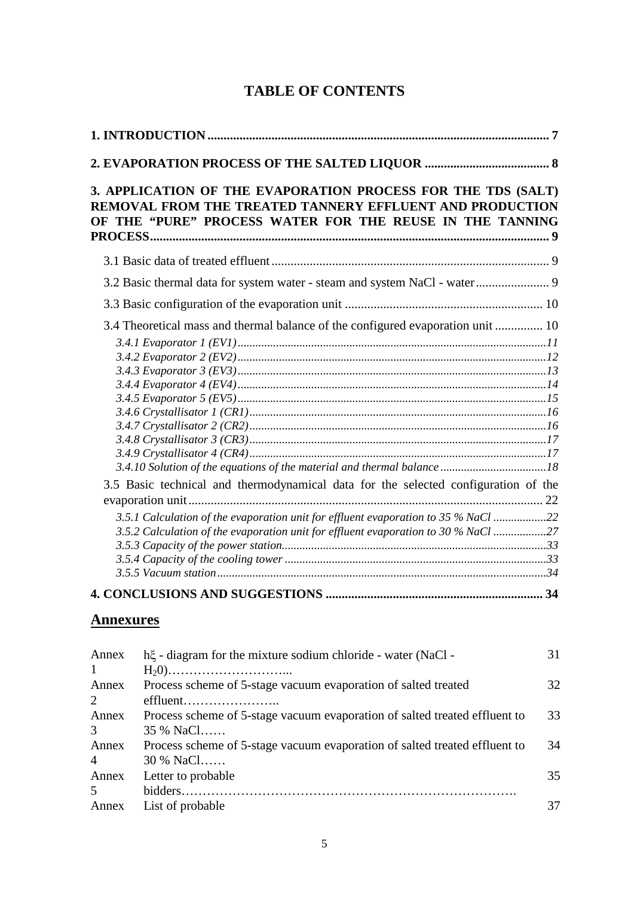| 3. APPLICATION OF THE EVAPORATION PROCESS FOR THE TDS (SALT)<br>REMOVAL FROM THE TREATED TANNERY EFFLUENT AND PRODUCTION<br>OF THE "PURE" PROCESS WATER FOR THE REUSE IN THE TANNING                                                                           |  |
|----------------------------------------------------------------------------------------------------------------------------------------------------------------------------------------------------------------------------------------------------------------|--|
|                                                                                                                                                                                                                                                                |  |
| 3.2 Basic thermal data for system water - steam and system NaCl - water 9                                                                                                                                                                                      |  |
|                                                                                                                                                                                                                                                                |  |
| 3.4 Theoretical mass and thermal balance of the configured evaporation unit  10                                                                                                                                                                                |  |
| 3.5 Basic technical and thermodynamical data for the selected configuration of the<br>3.5.1 Calculation of the evaporation unit for effluent evaporation to 35 % NaCl 22<br>3.5.2 Calculation of the evaporation unit for effluent evaporation to 30 % NaCl 27 |  |
|                                                                                                                                                                                                                                                                |  |

# **TABLE OF CONTENTS**

# **Annexures**

| Annex          | h. i.e. diagram for the mixture sodium chloride - water (NaCl -            | 31 |
|----------------|----------------------------------------------------------------------------|----|
| $\mathbf{1}$   |                                                                            |    |
| Annex          | Process scheme of 5-stage vacuum evaporation of salted treated             | 32 |
| $\mathcal{L}$  | effluent                                                                   |    |
| Annex          | Process scheme of 5-stage vacuum evaporation of salted treated effluent to | 33 |
| 3              | 35 % NaCl                                                                  |    |
| Annex          | Process scheme of 5-stage vacuum evaporation of salted treated effluent to | 34 |
| $\overline{4}$ | 30 % NaCl                                                                  |    |
| Annex          | Letter to probable                                                         | 35 |
| 5              |                                                                            |    |
| Annex          | List of probable                                                           |    |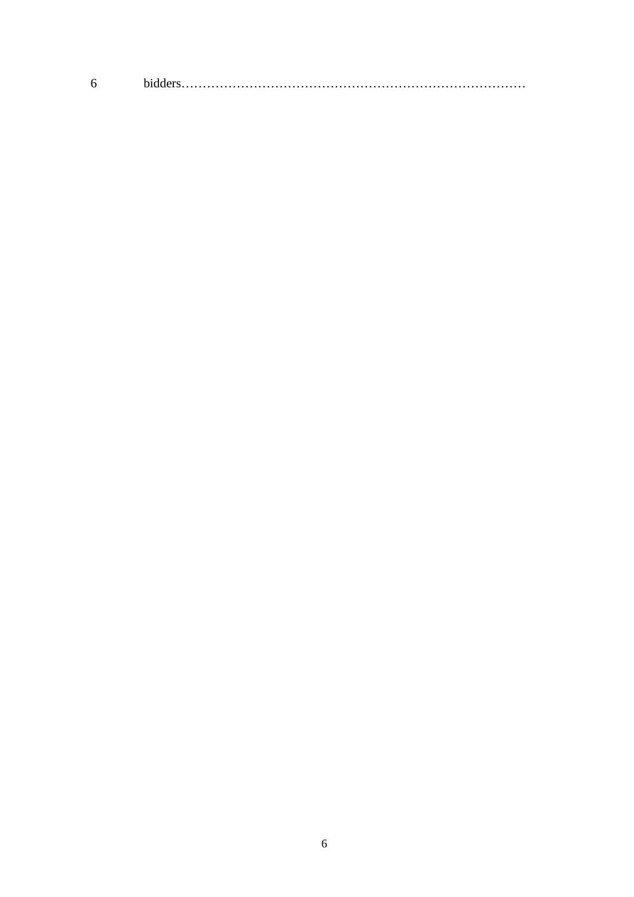$\boldsymbol{6}$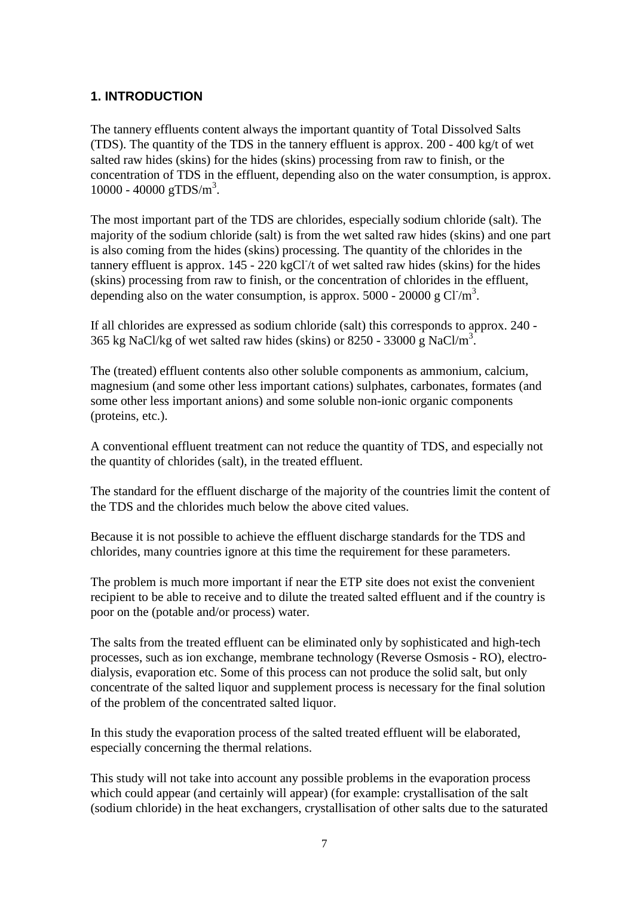### <span id="page-8-0"></span>**1. INTRODUCTION**

The tannery effluents content always the important quantity of Total Dissolved Salts (TDS). The quantity of the TDS in the tannery effluent is approx. 200 - 400 kg/t of wet salted raw hides (skins) for the hides (skins) processing from raw to finish, or the concentration of TDS in the effluent, depending also on the water consumption, is approx.  $10000 - 40000$  gTDS/m<sup>3</sup>.

The most important part of the TDS are chlorides, especially sodium chloride (salt). The majority of the sodium chloride (salt) is from the wet salted raw hides (skins) and one part is also coming from the hides (skins) processing. The quantity of the chlorides in the tannery effluent is approx. 145 - 220 kgCl/t of wet salted raw hides (skins) for the hides (skins) processing from raw to finish, or the concentration of chlorides in the effluent, depending also on the water consumption, is approx.  $5000 - 20000$  g Cl<sup>-/m<sup>3</sup>.</sup>

If all chlorides are expressed as sodium chloride (salt) this corresponds to approx. 240 - 365 kg NaCl/kg of wet salted raw hides (skins) or 8250 - 33000 g NaCl/m<sup>3</sup>.

The (treated) effluent contents also other soluble components as ammonium, calcium, magnesium (and some other less important cations) sulphates, carbonates, formates (and some other less important anions) and some soluble non-ionic organic components (proteins, etc.).

A conventional effluent treatment can not reduce the quantity of TDS, and especially not the quantity of chlorides (salt), in the treated effluent.

The standard for the effluent discharge of the majority of the countries limit the content of the TDS and the chlorides much below the above cited values.

Because it is not possible to achieve the effluent discharge standards for the TDS and chlorides, many countries ignore at this time the requirement for these parameters.

The problem is much more important if near the ETP site does not exist the convenient recipient to be able to receive and to dilute the treated salted effluent and if the country is poor on the (potable and/or process) water.

The salts from the treated effluent can be eliminated only by sophisticated and high-tech processes, such as ion exchange, membrane technology (Reverse Osmosis - RO), electrodialysis, evaporation etc. Some of this process can not produce the solid salt, but only concentrate of the salted liquor and supplement process is necessary for the final solution of the problem of the concentrated salted liquor.

In this study the evaporation process of the salted treated effluent will be elaborated, especially concerning the thermal relations.

This study will not take into account any possible problems in the evaporation process which could appear (and certainly will appear) (for example: crystallisation of the salt (sodium chloride) in the heat exchangers, crystallisation of other salts due to the saturated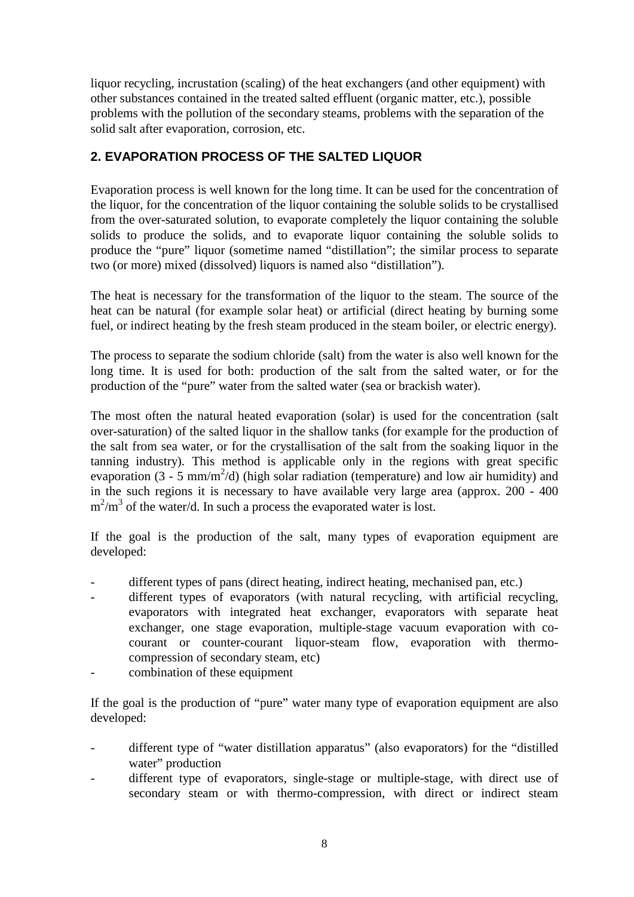liquor recycling, incrustation (scaling) of the heat exchangers (and other equipment) with other substances contained in the treated salted effluent (organic matter, etc.), possible problems with the pollution of the secondary steams, problems with the separation of the solid salt after evaporation, corrosion, etc.

# <span id="page-9-0"></span>**2. EVAPORATION PROCESS OF THE SALTED LIQUOR**

Evaporation process is well known for the long time. It can be used for the concentration of the liquor, for the concentration of the liquor containing the soluble solids to be crystallised from the over-saturated solution, to evaporate completely the liquor containing the soluble solids to produce the solids, and to evaporate liquor containing the soluble solids to produce the "pure" liquor (sometime named "distillation"; the similar process to separate two (or more) mixed (dissolved) liquors is named also "distillation").

The heat is necessary for the transformation of the liquor to the steam. The source of the heat can be natural (for example solar heat) or artificial (direct heating by burning some fuel, or indirect heating by the fresh steam produced in the steam boiler, or electric energy).

The process to separate the sodium chloride (salt) from the water is also well known for the long time. It is used for both: production of the salt from the salted water, or for the production of the "pure" water from the salted water (sea or brackish water).

The most often the natural heated evaporation (solar) is used for the concentration (salt over-saturation) of the salted liquor in the shallow tanks (for example for the production of the salt from sea water, or for the crystallisation of the salt from the soaking liquor in the tanning industry). This method is applicable only in the regions with great specific evaporation  $(3 - 5 \text{ mm/m}^2/d)$  (high solar radiation (temperature) and low air humidity) and in the such regions it is necessary to have available very large area (approx. 200 - 400  $m^2/m^3$  of the water/d. In such a process the evaporated water is lost.

If the goal is the production of the salt, many types of evaporation equipment are developed:

- different types of pans (direct heating, indirect heating, mechanised pan, etc.)
- different types of evaporators (with natural recycling, with artificial recycling, evaporators with integrated heat exchanger, evaporators with separate heat exchanger, one stage evaporation, multiple-stage vacuum evaporation with cocourant or counter-courant liquor-steam flow, evaporation with thermocompression of secondary steam, etc)
- combination of these equipment

If the goal is the production of "pure" water many type of evaporation equipment are also developed:

- different type of "water distillation apparatus" (also evaporators) for the "distilled water" production
- different type of evaporators, single-stage or multiple-stage, with direct use of secondary steam or with thermo-compression, with direct or indirect steam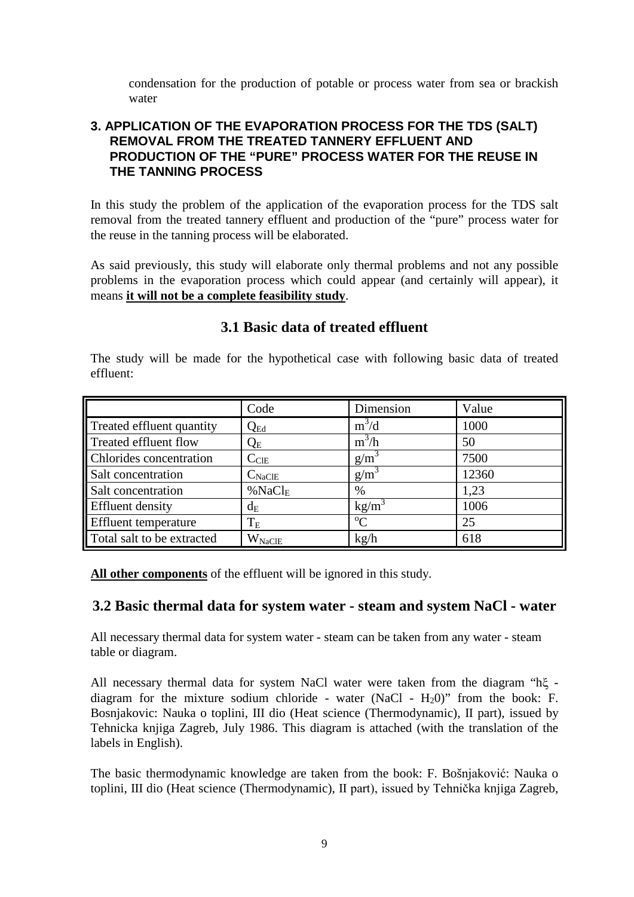condensation for the production of potable or process water from sea or brackish water

# <span id="page-10-0"></span>**3. APPLICATION OF THE EVAPORATION PROCESS FOR THE TDS (SALT) REMOVAL FROM THE TREATED TANNERY EFFLUENT AND PRODUCTION OF THE "PURE" PROCESS WATER FOR THE REUSE IN THE TANNING PROCESS**

In this study the problem of the application of the evaporation process for the TDS salt removal from the treated tannery effluent and production of the "pure" process water for the reuse in the tanning process will be elaborated.

As said previously, this study will elaborate only thermal problems and not any possible problems in the evaporation process which could appear (and certainly will appear), it means **it will not be a complete feasibility study**.

#### Code Dimension Value Treated effluent quantity  $Q_{Ed}$  m<sup>3</sup>/d<br>Treated effluent flow  $Q_F$  m<sup>3</sup>/h 1000 Treated effluent flow  $\mathbf{Q}_E$  $/h$  50 Chlorides concentration  $\begin{array}{c|c}\n\text{C<sub>CE</sub>}\n\end{array}$   $\begin{array}{c|c}\ng/m^3\end{array}$  7500 Salt concentration  $\begin{array}{|c|c|c|c|c|}\n\hline\n\text{Salt concentration} & \text{C}_{\text{NaCIE}} & \text{g/m}^3\n\end{array}$  12360 Salt concentration  $\%NaCl_{E}$  % 1,23 Effluent density dE kg/m<sup>3</sup> 1006 Effluent temperature  $T_{\rm E}$   $\rm{C}$  $\begin{array}{|c|c|c|c|c|}\n\hline\n\text{C} & \text{25}\n\end{array}$ Total salt to be extracted  $\vert$  W<sub>NaClE</sub> kg/h 618

# **3.1 Basic data of treated effluent**

<span id="page-10-1"></span>The study will be made for the hypothetical case with following basic data of treated

**All other components** of the effluent will be ignored in this study.

effluent:

# <span id="page-10-2"></span>**3.2 Basic thermal data for system water - steam and system NaCl - water**

All necessary thermal data for system water - steam can be taken from any water - steam table or diagram.

All necessary thermal data for system NaCl water were taken from the diagram "hξ diagram for the mixture sodium chloride - water (NaCl -  $H_2O$ )" from the book: F. Bosnjakovic: Nauka o toplini, III dio (Heat science (Thermodynamic), II part), issued by Tehnicka knjiga Zagreb, July 1986. This diagram is attached (with the translation of the labels in English).

The basic thermodynamic knowledge are taken from the book: F. Bošnjaković: Nauka o toplini, III dio (Heat science (Thermodynamic), II part), issued by Tehnička knjiga Zagreb,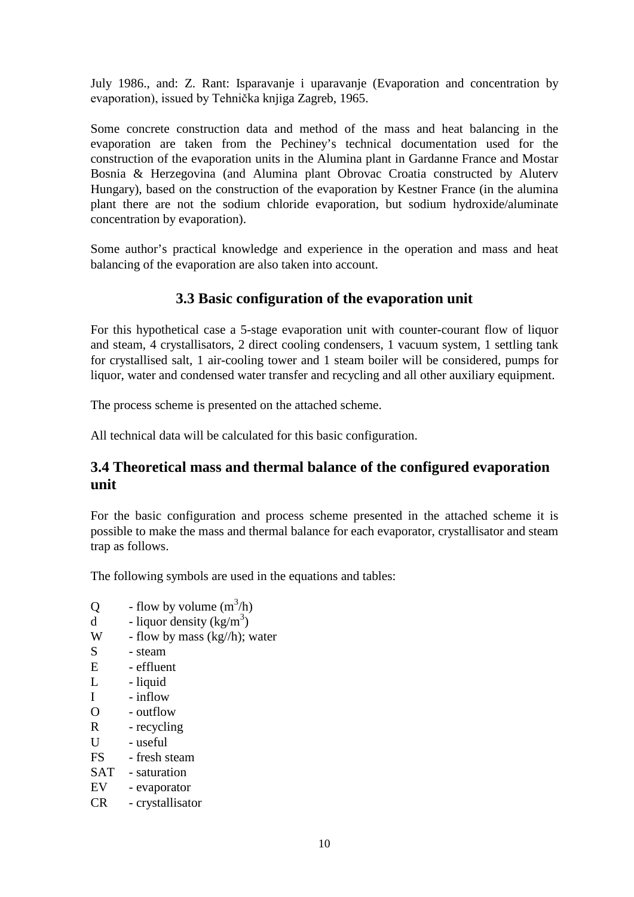July 1986., and: Z. Rant: Isparavanje i uparavanje (Evaporation and concentration by evaporation), issued by Tehnička knjiga Zagreb, 1965.

Some concrete construction data and method of the mass and heat balancing in the evaporation are taken from the Pechiney's technical documentation used for the construction of the evaporation units in the Alumina plant in Gardanne France and Mostar Bosnia & Herzegovina (and Alumina plant Obrovac Croatia constructed by Aluterv Hungary), based on the construction of the evaporation by Kestner France (in the alumina plant there are not the sodium chloride evaporation, but sodium hydroxide/aluminate concentration by evaporation).

Some author's practical knowledge and experience in the operation and mass and heat balancing of the evaporation are also taken into account.

# **3.3 Basic configuration of the evaporation unit**

<span id="page-11-0"></span>For this hypothetical case a 5-stage evaporation unit with counter-courant flow of liquor and steam, 4 crystallisators, 2 direct cooling condensers, 1 vacuum system, 1 settling tank for crystallised salt, 1 air-cooling tower and 1 steam boiler will be considered, pumps for liquor, water and condensed water transfer and recycling and all other auxiliary equipment.

The process scheme is presented on the attached scheme.

All technical data will be calculated for this basic configuration.

# <span id="page-11-1"></span>**3.4 Theoretical mass and thermal balance of the configured evaporation unit**

For the basic configuration and process scheme presented in the attached scheme it is possible to make the mass and thermal balance for each evaporator, crystallisator and steam trap as follows.

The following symbols are used in the equations and tables:

- Q flow by volume  $(m^3/h)$
- d liquor density  $(kg/m^3)$
- W flow by mass  $(kg/h)$ ; water
- S steam
- E effluent
- L liquid
- I inflow
- O outflow
- R recycling
- $U u$ seful
- FS fresh steam
- SAT saturation
- EV evaporator
- CR crystallisator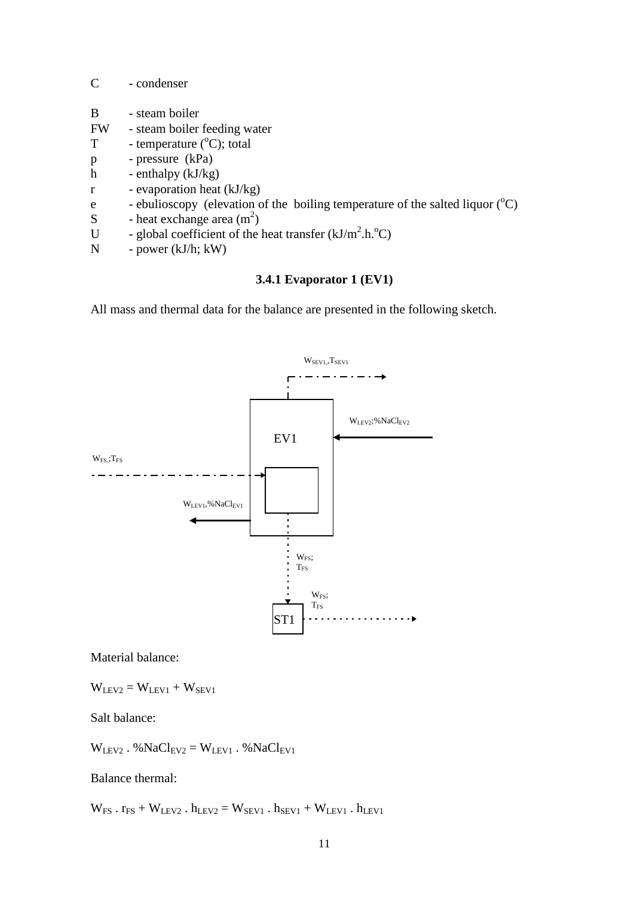| $\mathcal{C}_{\mathcal{C}}$ | - condenser                                                                                |
|-----------------------------|--------------------------------------------------------------------------------------------|
| B                           | - steam boiler                                                                             |
| <b>FW</b>                   | - steam boiler feeding water                                                               |
| T                           | - temperature $({}^{\circ}C)$ ; total                                                      |
| $\, {\bf p}$                | - pressure (kPa)                                                                           |
| $\mathbf h$                 | - enthalpy $(kJ/kg)$                                                                       |
| $\mathbf{r}$                | - evaporation heat (kJ/kg)                                                                 |
| e                           | - ebulioscopy (elevation of the boiling temperature of the salted liquor $({}^{\circ}C)$ ) |
| S                           | - heat exchange area $(m^2)$                                                               |
| U                           | - global coefficient of the heat transfer $(kJ/m2.h.oC)$                                   |
| N                           | - power $(kJ/h; kW)$                                                                       |

#### **3.4.1 Evaporator 1 (EV1)**

<span id="page-12-0"></span>All mass and thermal data for the balance are presented in the following sketch.



Material balance:

 $W<sub>LEV2</sub> = W<sub>LEV1</sub> + W<sub>SEVI</sub>$ 

Salt balance:

 $W<sub>LEV2</sub>$ . % $NaCl<sub>EV2</sub> = W<sub>LEV1</sub>$ . % $NaCl<sub>EV1</sub>$ 

Balance thermal:

 $W_{FS}$ .  $r_{FS} + W_{LEV2}$ .  $h_{LEV2} = W_{SEVI}$ .  $h_{SEVI} + W_{LEV1}$ .  $h_{LEV1}$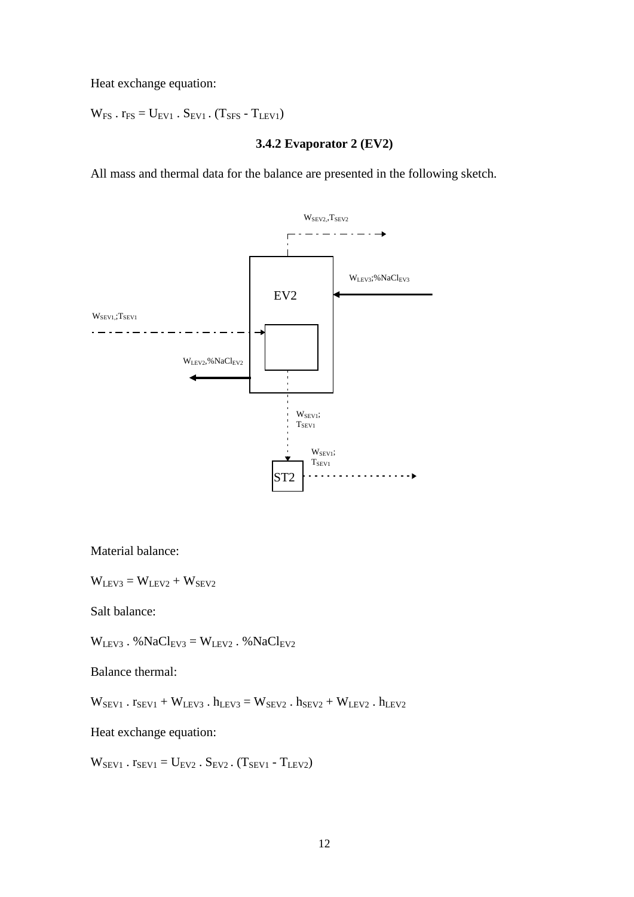Heat exchange equation:

 $W_{FS}$  .  $r_{FS} = U_{EV1}$  .  $S_{EV1}$  .  $(T_{SFS} - T_{LEV1})$ 

#### **3.4.2 Evaporator 2 (EV2)**

<span id="page-13-0"></span>All mass and thermal data for the balance are presented in the following sketch.



Material balance:

 $W<sub>LEV3</sub> = W<sub>LEV2</sub> + W<sub>SEV2</sub>$ 

Salt balance:

 $W<sub>LEV3</sub>$ . %Na $Cl<sub>EV3</sub>$  =  $W<sub>LEV2</sub>$ . %Na $Cl<sub>EV2</sub>$ 

Balance thermal:

 $\mathbf{W}_{\text{SEV1}}$  .  $\mathbf{r}_{\text{SEV1}}$  +  $\mathbf{W}_{\text{LEV3}}$  .  $\mathbf{h}_{\text{LEV2}}$  =  $\mathbf{W}_{\text{SEV2}}$  .  $\mathbf{h}_{\text{SEV2}}$  +  $\mathbf{W}_{\text{LEV2}}$  .  $\mathbf{h}_{\text{LEV2}}$ 

Heat exchange equation:

 $W<sub>SEV1</sub>$ .  $r<sub>SEV1</sub> = U<sub>EV2</sub>$ .  $S<sub>EV2</sub>$ .  $(T<sub>SEV1</sub> - T<sub>LEV2</sub>)$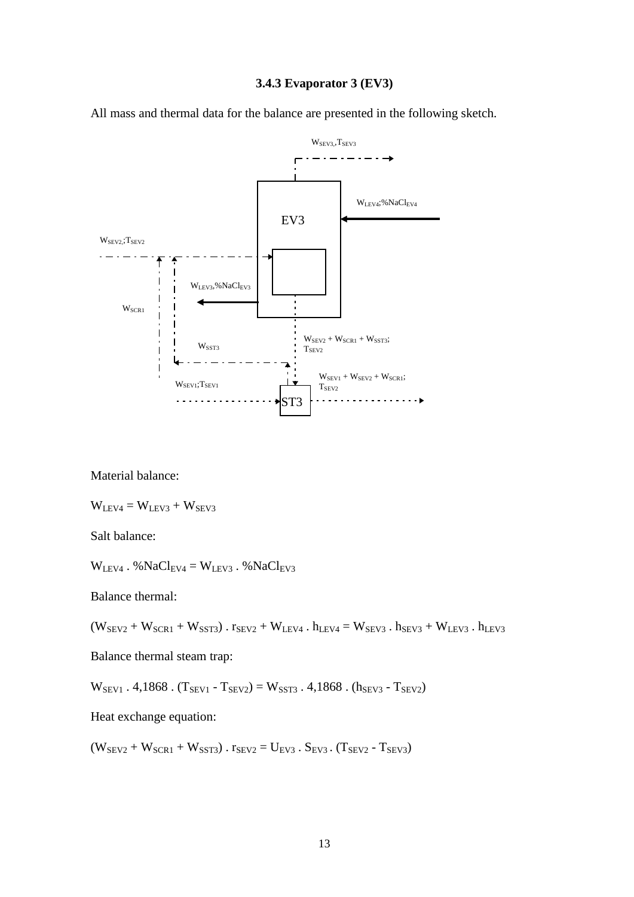#### **3.4.3 Evaporator 3 (EV3)**

<span id="page-14-0"></span>All mass and thermal data for the balance are presented in the following sketch.



Material balance:

 $W<sub>LEV4</sub> = W<sub>LEV3</sub> + W<sub>SEV3</sub>$ 

Salt balance:

 $W<sub>LEV4</sub>$ . % $NaCl<sub>EV4</sub> = W<sub>LEV3</sub>$ . % $NaCl<sub>EV3</sub>$ 

Balance thermal:

 $(W_{SEV2} + W_{SCR1} + W_{SST3})$ .  $r_{SEV2} + W_{LEV4}$ .  $h_{LEV4} = W_{SEV3}$ .  $h_{SEV3} + W_{LEV3}$ .  $h_{LEV3}$ 

Balance thermal steam trap:

 $W_{SEV1}$ . 4,1868. (T<sub>SEV1</sub> - T<sub>SEV2</sub>) =  $W_{SST3}$ . 4,1868. (h<sub>SEV3</sub> - T<sub>SEV2</sub>)

Heat exchange equation:

 $(W_{SEV2} + W_{SCR1} + W_{SST3})$ .  $r_{SEV2} = U_{EV3}$ .  $S_{EV3}$ .  $(T_{SEV2} - T_{SEV3})$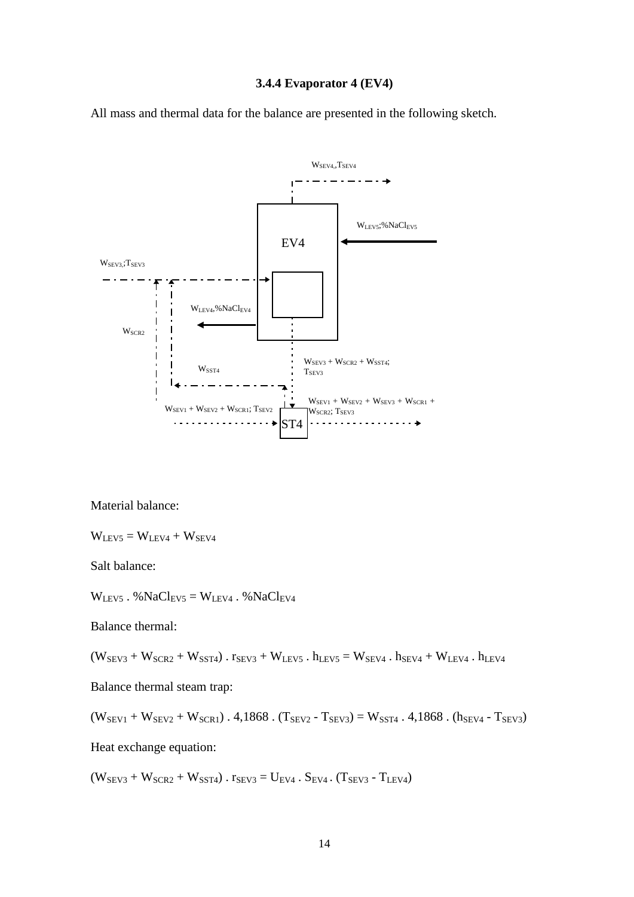#### **3.4.4 Evaporator 4 (EV4)**

<span id="page-15-0"></span>All mass and thermal data for the balance are presented in the following sketch.



Material balance:

 $W<sub>LEV5</sub> = W<sub>LEV4</sub> + W<sub>SEV4</sub>$ 

Salt balance:

 $W_{LEV5}$ . %Na $Cl_{EV5} = W_{LEV4}$ . %Na $Cl_{EV4}$ 

Balance thermal:

 $(W_{SEV3} + W_{SCR2} + W_{SST4})$ .  $r_{SEV3} + W_{LEV5}$ .  $h_{LEV5} = W_{SEV4}$ .  $h_{SEV4} + W_{LEV4}$ .  $h_{LEV4}$ 

Balance thermal steam trap:

 $(W_{SEV1} + W_{SEV2} + W_{SCR1})$ . 4,1868.  $(T_{SEV2} - T_{SEV3}) = W_{SST4}$ . 4,1868.  $(h_{SEV4} - T_{SEV3})$ 

Heat exchange equation:

 $(W_{SEV3} + W_{SCR2} + W_{SST4})$ .  $r_{SEV3} = U_{EV4}$ .  $S_{EV4}$ .  $(T_{SEV3} - T_{LEV4})$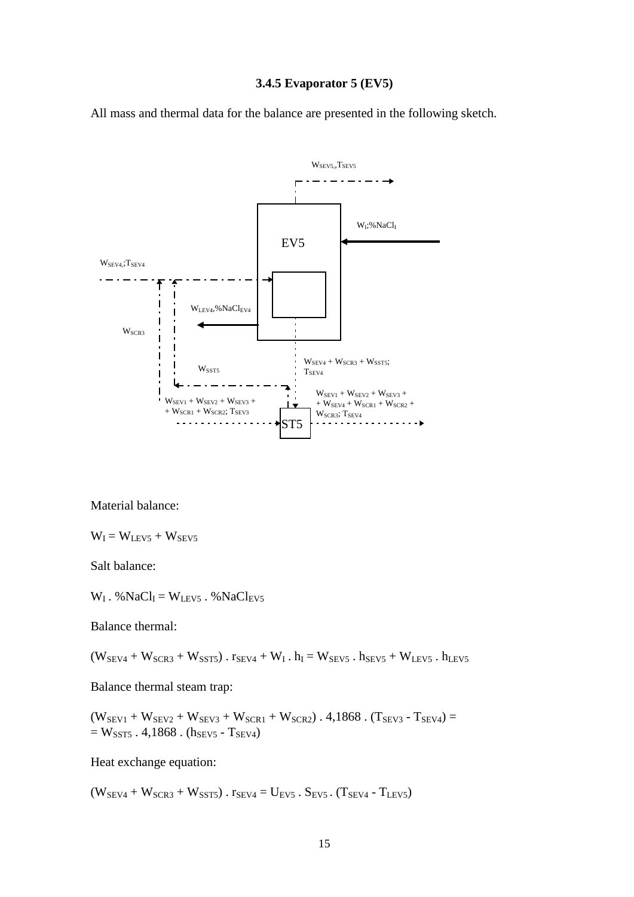#### **3.4.5 Evaporator 5 (EV5)**

<span id="page-16-0"></span>All mass and thermal data for the balance are presented in the following sketch.



Material balance:

 $W_I = W_{LEV5} + W_{SEV5}$ 

Salt balance:

 $W_I$ . %Na $Cl_I = W_{LEV5}$ . %Na $Cl_{EV5}$ 

Balance thermal:

 $(W_{SEV4} + W_{SCR3} + W_{SST5})$ .  $r_{SEV4} + W_I$ .  $h_I = W_{SEV5}$ .  $h_{SEV5} + W_{LEV5}$ .  $h_{LEV5}$ 

Balance thermal steam trap:

 $(W_{SEV1} + W_{SEV2} + W_{SEV3} + W_{SCR1} + W_{SCR2})$ . 4,1868. (T<sub>SEV3</sub> - T<sub>SEV4</sub>) =  $= W_{SST5}$ . 4,1868. (h<sub>SEV5</sub> - T<sub>SEV4</sub>)

Heat exchange equation:

 $(W_{SEV4} + W_{SCR3} + W_{SST5})$ .  $r_{SEV4} = U_{EV5}$ .  $S_{EV5}$ .  $(T_{SEV4} - T_{LEV5})$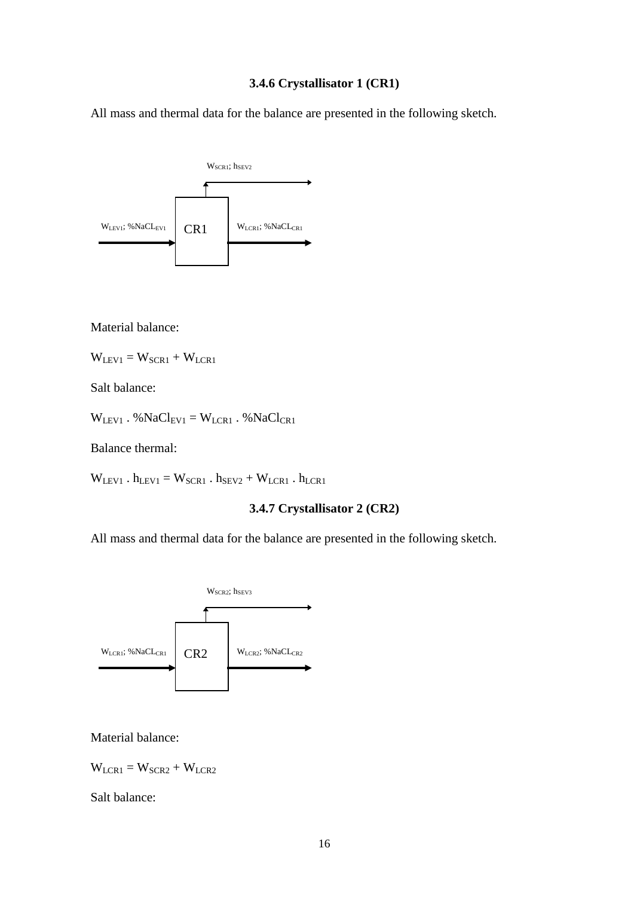#### **3.4.6 Crystallisator 1 (CR1)**

<span id="page-17-0"></span>All mass and thermal data for the balance are presented in the following sketch.



Material balance:

 $W<sub>LEV1</sub> = W<sub>SCR1</sub> + W<sub>LCR1</sub>$ 

Salt balance:

 $W<sub>LEV1</sub>$ . %Na $Cl<sub>EVI</sub>$  =  $W<sub>LCR1</sub>$ . %Na $Cl<sub>CR1</sub>$ 

Balance thermal:

<span id="page-17-1"></span> $W_{LEV1}$  .  $h_{LEV1} = W_{SCR1}$  .  $h_{SEV2} + W_{LCR1}$  .  $h_{LCR1}$ 

#### **3.4.7 Crystallisator 2 (CR2)**

All mass and thermal data for the balance are presented in the following sketch.



Material balance:

 $W_{LCR1} = W_{SCR2} + W_{LCR2}$ 

Salt balance: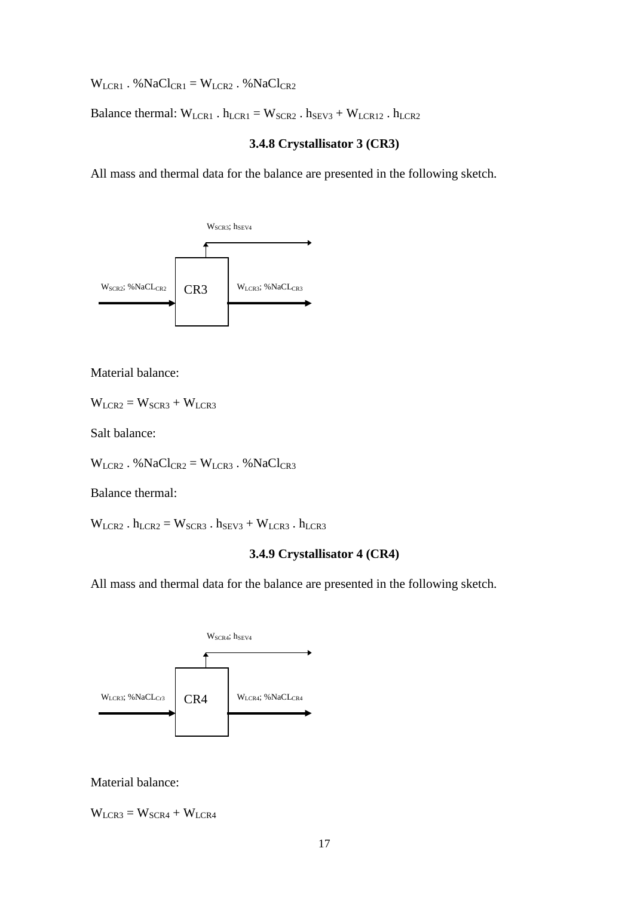$W_{LCR1}$ . % $NaCl_{CR1} = W_{LCR2}$ . % $NaCl_{CR2}$ 

<span id="page-18-0"></span>Balance thermal:  $W_{LCR1}$ .  $h_{LCR1} = W_{SCR2}$ .  $h_{SEV3} + W_{LCR12}$ .  $h_{LCR2}$ 

#### **3.4.8 Crystallisator 3 (CR3)**

All mass and thermal data for the balance are presented in the following sketch.



Material balance:

 $W_{LCR2} = W_{SCR3} + W_{LCR3}$ 

Salt balance:

 $W_{LCR2}$ . % $NaCl_{CR2} = W_{LCR3}$ . % $NaCl_{CR3}$ 

Balance thermal:

<span id="page-18-1"></span> $W_{LCR2}$ .  $h_{LCR2} = W_{SCR3}$ .  $h_{SEV3} + W_{LCR3}$ .  $h_{LCR3}$ 

### **3.4.9 Crystallisator 4 (CR4)**

All mass and thermal data for the balance are presented in the following sketch.



Material balance:

 $W_{LCR3} = W_{SCR4} + W_{LCR4}$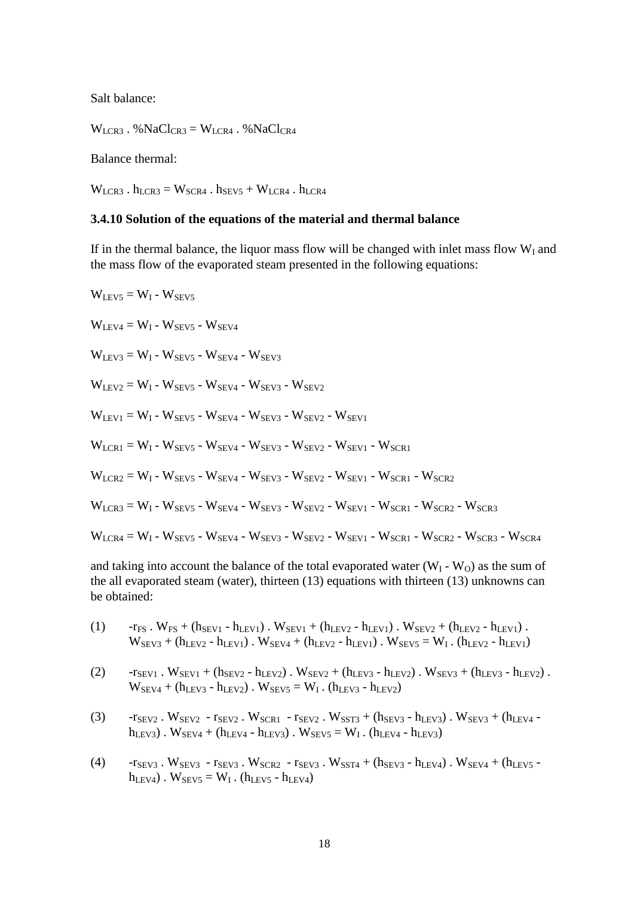Salt balance:

 $W_{LCR3}$ . % $NaCl_{CR3} = W_{LCR4}$ . % $NaCl_{CR4}$ 

Balance thermal:

 $W_{LCR3}$ .  $h_{LCR3} = W_{SCR4}$ .  $h_{SEV5} + W_{LCR4}$ .  $h_{LCR4}$ 

#### <span id="page-19-0"></span>**3.4.10 Solution of the equations of the material and thermal balance**

If in the thermal balance, the liquor mass flow will be changed with inlet mass flow  $W<sub>I</sub>$  and the mass flow of the evaporated steam presented in the following equations:

 $W<sub>LEV5</sub> = W<sub>I</sub> - W<sub>SEV5</sub>$  $W<sub>LFV4</sub> = W<sub>I</sub> - W<sub>SEV5</sub> - W<sub>SEV4</sub>$  $W<sub>LEV3</sub> = W<sub>I</sub> - W<sub>SEV5</sub> - W<sub>SEV4</sub> - W<sub>SEV3</sub>$  $W_{\text{IEV2}} = W_1 - W_{\text{SEV5}} - W_{\text{SEV4}} - W_{\text{SEV3}} - W_{\text{SEV2}}$  $W<sub>LEV1</sub> = W<sub>I</sub> - W<sub>SEV5</sub> - W<sub>SEV4</sub> - W<sub>SEV3</sub> - W<sub>SEV2</sub> - W<sub>SEV1</sub>$  $W_{LCR1} = W_{I} - W_{SEV5} - W_{SEV4} - W_{SEV3} - W_{SEV2} - W_{SEV1} - W_{SCR1}$  $W_{LCR2} = W_{I} - W_{SEV5} - W_{SEV4} - W_{SEV3} - W_{SEV2} - W_{SEV1} - W_{SCR1} - W_{SCR2}$  $W_{LCR3} = W_{I} - W_{SEV5} - W_{SEV4} - W_{SEV3} - W_{SEV2} - W_{SEV1} - W_{SCR1} - W_{SCR2} - W_{SCR3}$  $W_{LCR4} = W_{I} - W_{SEV5} - W_{SEV4} - W_{SEV3} - W_{SEV2} - W_{SEV1} - W_{SCR1} - W_{SCR2} - W_{SCR3} - W_{SCR4}$ 

and taking into account the balance of the total evaporated water  $(W_I - W_O)$  as the sum of the all evaporated steam (water), thirteen (13) equations with thirteen (13) unknowns can be obtained:

- (1)  $-r_{FS}$  .  $W_{FS} + (h_{SEV1} h_{LEV1})$  .  $W_{SEV1} + (h_{LEV2} h_{LEV1})$  .  $W_{SEV2} + (h_{LEV2} h_{LEV1})$  .  $W_{SEV3} + (h_{LEV2} - h_{LEV1})$ .  $W_{SEV4} + (h_{LEV2} - h_{LEV1})$ .  $W_{SEV5} = W_I$ .  $(h_{LEV2} - h_{LEV1})$
- (2)  $-r_{SEV1}$ .  $W_{SEV1} + (h_{SEV2} h_{LEV2})$ .  $W_{SEV2} + (h_{LEV3} h_{LEV2})$ .  $W_{SEV3} + (h_{LEV3} h_{LEV2})$ .  $W_{SEV4} + (h_{LEV3} - h_{LEV2})$ .  $W_{SEV5} = W_I$ .  $(h_{LEV3} - h_{LEV2})$
- (3)  $-r_{SEV2}$ .  $W_{SEV2}$   $r_{SEV2}$ .  $W_{SCR1}$   $r_{SEV2}$ .  $W_{SST3}$  + ( $h_{SEV3}$   $h_{LEV3}$ ).  $W_{SEV3}$  + ( $h_{LEV4}$   $h_{LEV3})$ .  $W_{SEV4} + (h_{LEV4} - h_{LEV3})$ .  $W_{SEV5} = W_I$ .  $(h_{LEV4} - h_{LEV3})$
- (4)  $-r_{SEV3}$ .  $W_{SEV3}$   $r_{SEV3}$ .  $W_{SCR2}$   $r_{SEV3}$ .  $W_{SST4}$  + (h<sub>SEV3</sub> h<sub>LEV4</sub>).  $W_{SEV4}$  + (h<sub>LEV5</sub>  $h_{LEV4})$ .  $W_{SEV5} = W_I$ . ( $h_{LEV5} - h_{LEV4}$ )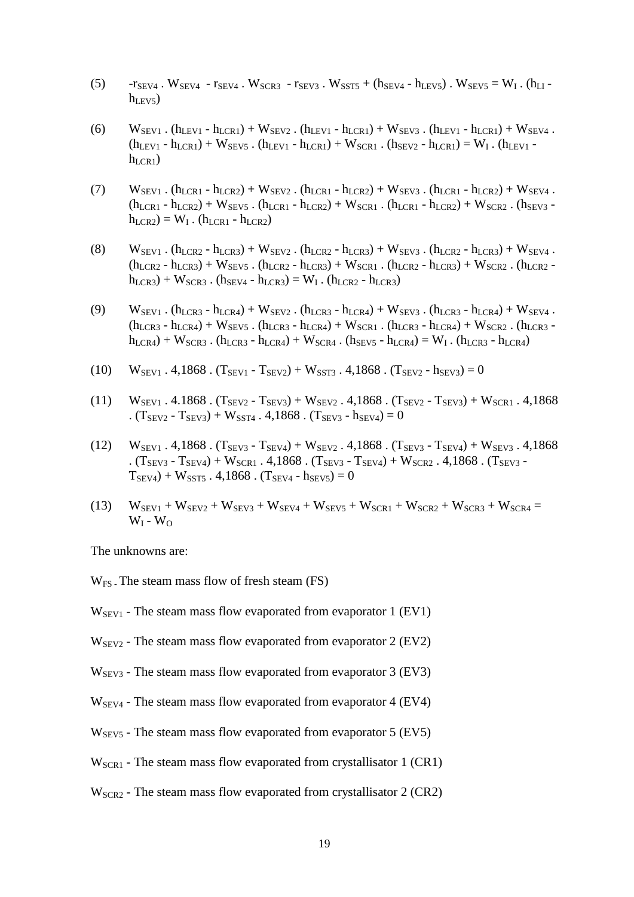- (5)  $r_{SEV4}$ . W<sub>SEV4</sub>  $r_{SEV4}$ . W<sub>SCR3</sub>  $r_{SEV3}$ . W<sub>SST5</sub> + ( $h_{SEV4}$   $h_{LEV5}$ ). W<sub>SEV5</sub> = W<sub>I</sub>. ( $h_{LI}$   $h_{LEV5}$ )
- (6)  $W_{SEVI}$ .  $(h_{LEVI} h_{LCR1}) + W_{SEV2}$ .  $(h_{LEVI} h_{LCR1}) + W_{SEV3}$ .  $(h_{LEVI} h_{LCR1}) + W_{SEV4}$ .  $(h_{LEV1} - h_{LCR1}) + W_{SEV5}$ .  $(h_{LEV1} - h_{LCR1}) + W_{SCR1}$ .  $(h_{SEV2} - h_{LCR1}) = W_1$ .  $(h_{LEV1} - h_{LCR1})$  $h_{LCR1}$ )
- (7)  $W_{SEVI}$ . (h<sub>LCR1</sub> h<sub>LCR2</sub>) +  $W_{SEV2}$ . (h<sub>LCR1</sub> h<sub>LCR2</sub>) +  $W_{SEV3}$ . (h<sub>LCR1</sub> h<sub>LCR2</sub>) +  $W_{SEV4}$ .  $(h_{LCR1} - h_{LCR2}) + W_{SEV5}$ .  $(h_{LCR1} - h_{LCR2}) + W_{SCR1}$ .  $(h_{LCR1} - h_{LCR2}) + W_{SCR2}$ .  $(h_{SEV3} - h_{LCR1})$  $h_{LCR2}$ ) =  $W_I$ . ( $h_{LCR1}$  -  $h_{LCR2}$ )
- (8)  $W_{SEVI}$ .  $(h_{LCR2} h_{LCR3}) + W_{SEV2}$ .  $(h_{LCR2} h_{LCR3}) + W_{SEV3}$ .  $(h_{LCR2} h_{LCR3}) + W_{SEV4}$ .  $(h_{LCR2} - h_{LCR3}) + W_{SEV5}$ .  $(h_{LCR2} - h_{LCR3}) + W_{SCR1}$ .  $(h_{LCR2} - h_{LCR3}) + W_{SCR2}$ .  $(h_{LCR2} - h_{LCR3})$  $h_{LCR3}$ ) + W<sub>SCR3</sub>. ( $h_{SEV4}$  -  $h_{LCR3}$ ) = W<sub>I</sub>. ( $h_{LCR2}$  -  $h_{LCR3}$ )
- (9)  $W_{SEVI}$ . (h<sub>LCR3</sub> h<sub>LCR4</sub>) +  $W_{SEV2}$ . (h<sub>LCR3</sub> h<sub>LCR4</sub>) +  $W_{SEV3}$ . (h<sub>LCR3</sub> h<sub>LCR4</sub>) +  $W_{SEV4}$ .  $(h_{LCR3} - h_{LCR4}) + W_{SEV5}$ .  $(h_{LCR3} - h_{LCR4}) + W_{SCR1}$ .  $(h_{LCR3} - h_{LCR4}) + W_{SCR2}$ .  $(h_{LCR3} - h_{LCR4}) + W_{SER1}$ .  $h_{LCR4}$ ) + W<sub>SCR3</sub> . ( $h_{LCR3}$  -  $h_{LCR4}$ ) + W<sub>SCR4</sub> . ( $h_{SEV5}$  -  $h_{LCR4}$ ) = W<sub>I</sub> . ( $h_{LCR3}$  -  $h_{LCR4}$ )
- (10)  $W_{SEV1}$ . 4,1868.  $(T_{SEV1} T_{SEV2}) + W_{SST3}$ . 4,1868.  $(T_{SEV2} h_{SEV3}) = 0$
- (11)  $W_{SEV1}$ . 4.1868.  $(T_{SEV2} T_{SEV3}) + W_{SEV2}$ . 4,1868.  $(T_{SEV2} T_{SEV3}) + W_{SCR1}$ . 4,1868 .  $(T_{SEV2} - T_{SEV3}) + W_{SST4}$ . 4,1868.  $(T_{SEV3} - h_{SEV4}) = 0$
- (12)  $W_{SEV1}$ . 4,1868.  $(T_{SEV3} T_{SEV4}) + W_{SEV2}$ . 4,1868.  $(T_{SEV3} T_{SEV4}) + W_{SEV3}$ . 4,1868 .  $(T_{SEV3} - T_{SEV4}) + W_{SCR1}$ . 4,1868.  $(T_{SEV3} - T_{SEV4}) + W_{SCR2}$ . 4,1868.  $(T_{SEV3} - T_{SEV4})$  $T_{SEV4}$ ) +  $W_{SST5}$ . 4,1868. ( $T_{SEV4}$  -  $h_{SEV5}$ ) = 0
- (13)  $W_{SEV1} + W_{SEV2} + W_{SEV3} + W_{SEV4} + W_{SEV5} + W_{SCR1} + W_{SCR2} + W_{SCR3} + W_{SCR4} =$  $W_I - W_O$

The unknowns are:

 $W_{FS}$ . The steam mass flow of fresh steam (FS)

- $W<sub>SEVI</sub>$  The steam mass flow evaporated from evaporator 1 (EV1)
- $W<sub>SEV2</sub>$  The steam mass flow evaporated from evaporator 2 (EV2)
- $W<sub>SEV3</sub>$  The steam mass flow evaporated from evaporator 3 (EV3)
- $W<sub>SEV4</sub>$  The steam mass flow evaporated from evaporator 4 (EV4)
- $W<sub>SEV5</sub>$  The steam mass flow evaporated from evaporator 5 (EV5)
- $W<sub>SCR1</sub>$  The steam mass flow evaporated from crystallisator 1 (CR1)
- $W<sub>SCR2</sub>$  The steam mass flow evaporated from crystallisator 2 (CR2)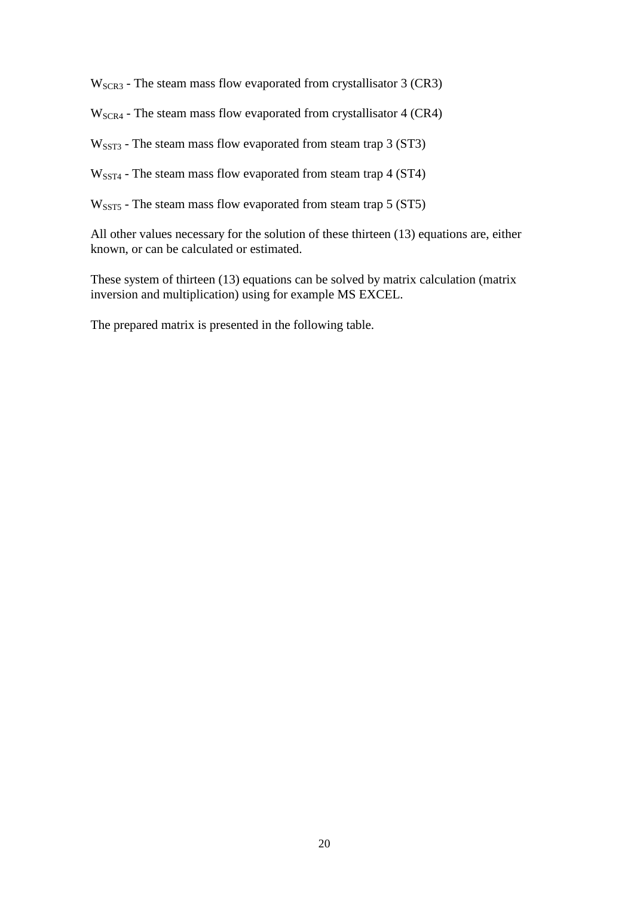WSCR3 - The steam mass flow evaporated from crystallisator 3 (CR3)

W<sub>SCR4</sub> - The steam mass flow evaporated from crystallisator 4 (CR4)

W<sub>SST3</sub> - The steam mass flow evaporated from steam trap 3 (ST3)

W<sub>SST4</sub> - The steam mass flow evaporated from steam trap 4 (ST4)

W<sub>SST5</sub> - The steam mass flow evaporated from steam trap 5 (ST5)

All other values necessary for the solution of these thirteen (13) equations are, either known, or can be calculated or estimated.

These system of thirteen (13) equations can be solved by matrix calculation (matrix inversion and multiplication) using for example MS EXCEL.

The prepared matrix is presented in the following table.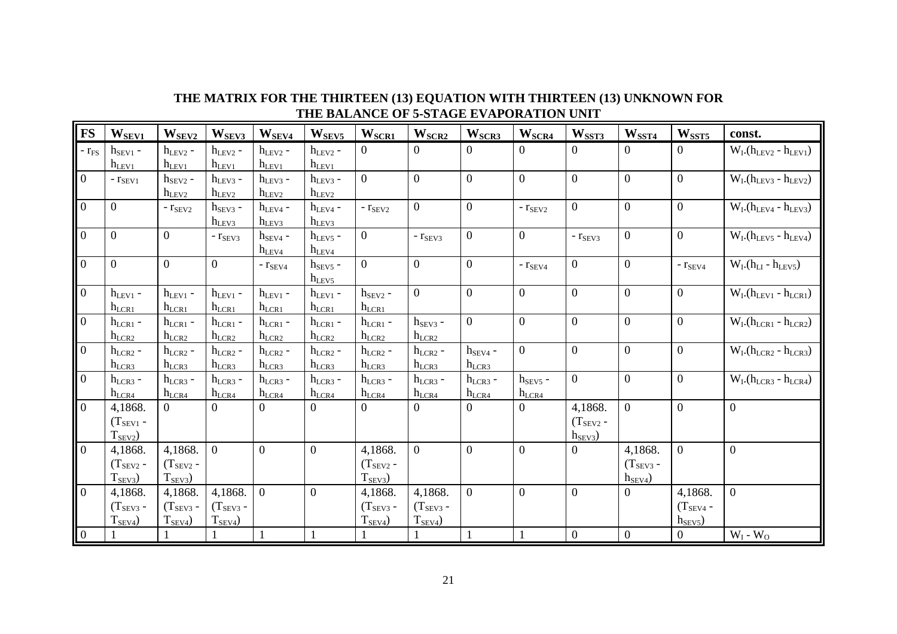| <b>FS</b>      | W <sub>SEV1</sub> | $W_{SEV2}$     | W <sub>SEV3</sub> | W <sub>SEV4</sub>   | W <sub>SEV5</sub>   | $W_{\text{SCR1}}$ | W <sub>SCR2</sub> | $W_{SCR3}$       | W <sub>SCR4</sub> | W <sub>SST3</sub> | W <sub>SST4</sub> | $W_{\text{SST5}}$ | const.                      |
|----------------|-------------------|----------------|-------------------|---------------------|---------------------|-------------------|-------------------|------------------|-------------------|-------------------|-------------------|-------------------|-----------------------------|
| $-r_{FS}$      | $h_{SEV1}$ -      | $h_{LEV2}$ -   | $h_{LEV2}$ -      | $h_{LEV2}$ -        | $h_{LEV2}$ -        | $\Omega$          | $\Omega$          | $\Omega$         | $\Omega$          | $\Omega$          | $\theta$          | $\Omega$          | $W_I(h_{LEV2} - h_{LEV1})$  |
|                | $h_{LEV1}$        | $h_{LEV1}$     | $h_{LEV1}$        | $h_{LEV1}$          | $h_{LEV1}$          |                   |                   |                  |                   |                   |                   |                   |                             |
| $\mathbf{0}$   | $ r_{SEVI}$       | $h_{SEV2}$ -   | $h_{LEV3}$ -      | $h_{LEV3}$ -        | $h_{\text{LEV3}}$ - | $\overline{0}$    | $\overline{0}$    | $\overline{0}$   | $\overline{0}$    | $\overline{0}$    | $\overline{0}$    | $\overline{0}$    | $W_I(h_{LEV3} - h_{LEV2})$  |
|                |                   | $h_{LEV2}$     | $h_{LEV2}$        | $h_{LEV2}$          | $h$ <sub>LEV2</sub> |                   |                   |                  |                   |                   |                   |                   |                             |
| $\mathbf{0}$   | $\overline{0}$    | $ r_{SEV2}$    | $h_{SEV3}$ -      | $h_{\text{LEV4}}$ - | $h_{LEV4}$ -        | $ r_{SEV2}$       | $\boldsymbol{0}$  | $\boldsymbol{0}$ | $- r_{SEV2}$      | $\overline{0}$    | $\boldsymbol{0}$  | $\overline{0}$    | $W_I(h_{LEV4} - h_{LEV3})$  |
|                |                   |                | $h_{LEV3}$        | $h_{LEV3}$          | $h_{\text{LEV3}}$   |                   |                   |                  |                   |                   |                   |                   |                             |
| $\mathbf{0}$   | $\overline{0}$    | $\overline{0}$ | $ r_{SEV3}$       | $h_{SEV4}$ -        | $h_{LEV5}$ -        | $\overline{0}$    | $ r_{SEV3}$       | $\boldsymbol{0}$ | $\overline{0}$    | - $r_{\rm SEV3}$  | $\boldsymbol{0}$  | $\overline{0}$    | $W_I.(h_{LEV5} - h_{LEV4})$ |
|                |                   |                |                   | $h_{LEV4}$          | $h_{LEV4}$          |                   |                   |                  |                   |                   |                   |                   |                             |
| $\overline{0}$ | $\overline{0}$    | $\overline{0}$ | $\overline{0}$    | $ r_{SEV4}$         | $h_{SEV5}$ -        | $\boldsymbol{0}$  | $\boldsymbol{0}$  | $\overline{0}$   | $ r_{SEV4}$       | $\overline{0}$    | $\overline{0}$    | $ r_{SEV4}$       | $W_I(h_{LI} - h_{LEV5})$    |
|                |                   |                |                   |                     | $h_{LEV5}$          |                   |                   |                  |                   |                   |                   |                   |                             |
| $\overline{0}$ | $h_{LEV1}$ -      | $h_{LEV1}$ -   | $h_{LEV1}$ -      | $h_{LEV1}$ -        | $h_{LEV1}$ -        | $h_{\rm SEV2}$ -  | $\overline{0}$    | $\overline{0}$   | $\overline{0}$    | $\overline{0}$    | $\overline{0}$    | $\overline{0}$    | $W_I(h_{LEV1} - h_{LCR1})$  |
|                | $h_{LCR1}$        | $h_{LCR1}$     | $h_{LCR1}$        | $h_{LCR1}$          | $h_{LCR1}$          | $h_{LCR1}$        |                   |                  |                   |                   |                   |                   |                             |
| $\overline{0}$ | $h_{LCR1}$ -      | $h_{LCR1}$ -   | $h_{LCR1}$ -      | $h_{LCR1}$ -        | $h_{LCR1}$ -        | $h_{LCR1}$ -      | $h_{SEV3}$ -      | $\overline{0}$   | $\overline{0}$    | $\overline{0}$    | $\overline{0}$    | $\overline{0}$    | $W_I(h_{LCR1} - h_{LCR2})$  |
|                | $h_{LCR2}$        | $h_{LCR2}$     | $h_{LCR2}$        | $h_{LCR2}$          | $h_{LCR2}$          | $h_{LCR2}$        | $h_{LCR2}$        |                  |                   |                   |                   |                   |                             |
| $\overline{0}$ | $h_{LCR2}$ -      | $h_{LCR2}$ -   | $h_{LCR2}$ -      | $h_{LCR2}$ -        | $h_{LCR2}$ -        | $h_{LCR2}$ -      | $h_{LCR2}$ -      | $h_{SEV4}$ -     | $\overline{0}$    | $\overline{0}$    | $\overline{0}$    | $\Omega$          | $W_I(h_{LCR2} - h_{LCR3})$  |
|                | $h_{LCR3}$        | $h_{LCR3}$     | $h_{LCR3}$        | $h_{LCR3}$          | $h_{LCR3}$          | $h_{LCR3}$        | $h_{LCR3}$        | $h_{LCR3}$       |                   |                   |                   |                   |                             |
| $\overline{0}$ | $h_{LCR3}$ -      | $h_{LCR3}$ -   | $h_{LCR3}$ -      | $h_{LCR3}$ -        | $h_{LCR3}$ -        | $h_{LCR3}$ -      | $h_{LCR3}$ -      | $h_{LCR3}$ -     | $h_{SEV5}$ -      | $\overline{0}$    | $\overline{0}$    | $\overline{0}$    | $W_I(h_{LCR3} - h_{LCR4})$  |
|                | $h_{LCR4}$        | $h_{LCR4}$     | $h_{LCR4}$        | $h_{LCR4}$          | $h_{LCR4}$          | $h_{LCR4}$        | $h_{LCR4}$        | $h_{LCR4}$       | $h_{LCR4}$        |                   |                   |                   |                             |
| $\overline{0}$ | 4,1868.           | $\overline{0}$ | $\Omega$          | $\Omega$            |                     | $\Omega$          | $\Omega$          | $\Omega$         | $\Omega$          | 4,1868.           | $\overline{0}$    | $\overline{0}$    | $\overline{0}$              |
|                | $(T_{SEV1}$ -     |                |                   |                     |                     |                   |                   |                  |                   | $(T_{\rm SEV2}$ - |                   |                   |                             |
|                | $T_{SEV2}$        |                |                   |                     |                     |                   |                   |                  |                   | $h_{SEV3}$        |                   |                   |                             |
| $\overline{0}$ | 4,1868.           | 4,1868.        | $\overline{0}$    | $\overline{0}$      | $\overline{0}$      | 4,1868.           | $\overline{0}$    | $\overline{0}$   | $\theta$          | $\Omega$          | 4,1868.           | $\overline{0}$    | $\overline{0}$              |
|                | $(T_{SEV2} -$     | $(T_{SEV2} -$  |                   |                     |                     | $(T_{\rm SEV2} -$ |                   |                  |                   |                   | $(T_{SEV3} -$     |                   |                             |
|                | $T_{SEV3}$        | $T_{SEV3}$     |                   |                     |                     | $T_{SEV3}$        |                   |                  |                   |                   | $h_{SEV4}$        |                   |                             |
| $\overline{0}$ | 4,1868.           | 4,1868.        | 4,1868.           | $\overline{0}$      | $\overline{0}$      | 4,1868.           | 4,1868.           | $\boldsymbol{0}$ | $\theta$          | $\mathbf{0}$      | $\overline{0}$    | 4,1868.           | $\overline{0}$              |
|                | $(T_{SEV3} -$     | $(T_{SEV3} -$  | $(T_{SEV3} -$     |                     |                     | $(T_{SEV3} -$     | $(T_{SEV3} -$     |                  |                   |                   |                   | $(T_{SEV4}$ -     |                             |
|                | $T_{SEV4}$        | $T_{SEV4}$     | $T_{SEV4}$        |                     |                     | $T_{SEV4}$        | $T_{SEV4}$        |                  |                   |                   |                   | $h_{SEV5}$        |                             |
| $\boxed{0}$    |                   |                |                   |                     |                     |                   |                   | $\mathbf{1}$     |                   | $\overline{0}$    | $\boldsymbol{0}$  | $\mathbf{0}$      | $W_I - W_O$                 |

#### **THE MATRIX FOR THE THIRTEEN (13) EQUATION WITH THIRTEEN (13) UNKNOWN FOR THE BALANCE OF 5-STAGE EVAPORATION UNIT**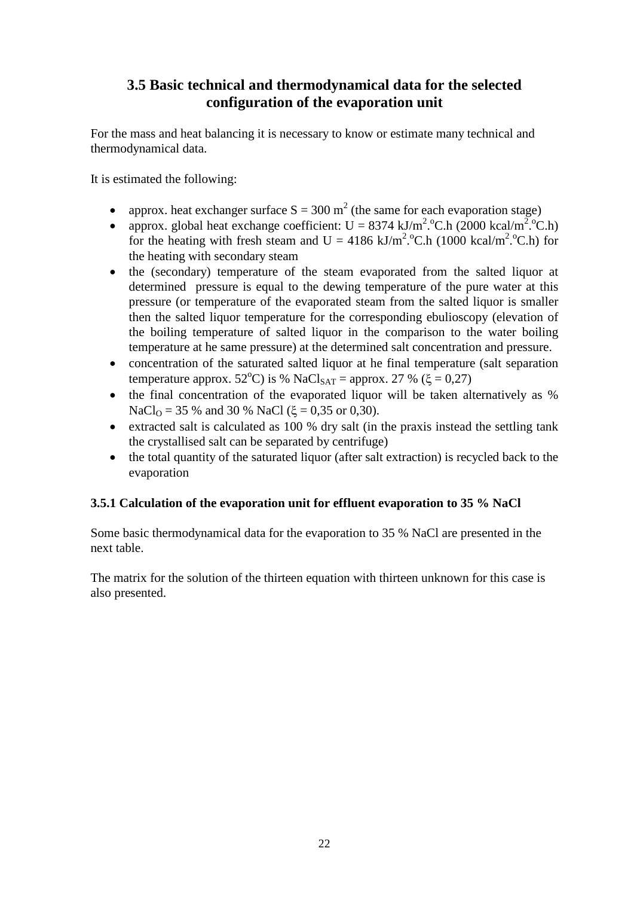# <span id="page-23-0"></span>**3.5 Basic technical and thermodynamical data for the selected configuration of the evaporation unit**

For the mass and heat balancing it is necessary to know or estimate many technical and thermodynamical data.

It is estimated the following:

- approx. heat exchanger surface  $S = 300 \text{ m}^2$  (the same for each evaporation stage)
- approx. global heat exchange coefficient:  $U = 8374 \text{ kJ/m}^2$ . °C.h (2000 kcal/m<sup>2</sup>. °C.h) for the heating with fresh steam and  $U = 4186 \text{ kJ/m}^2$ . C.h (1000 kcal/m<sup>2</sup>. C.h) for the heating with secondary steam
- the (secondary) temperature of the steam evaporated from the salted liquor at determined pressure is equal to the dewing temperature of the pure water at this pressure (or temperature of the evaporated steam from the salted liquor is smaller then the salted liquor temperature for the corresponding ebulioscopy (elevation of the boiling temperature of salted liquor in the comparison to the water boiling temperature at he same pressure) at the determined salt concentration and pressure.
- concentration of the saturated salted liquor at he final temperature (salt separation temperature approx.  $52^{\circ}$ C) is % NaCl<sub>SAT</sub> = approx. 27 % ( $\xi$  = 0,27)
- the final concentration of the evaporated liquor will be taken alternatively as % NaCl<sub>O</sub> = 35 % and 30 % NaCl ( $\xi$  = 0,35 or 0,30).
- extracted salt is calculated as 100 % dry salt (in the praxis instead the settling tank the crystallised salt can be separated by centrifuge)
- the total quantity of the saturated liquor (after salt extraction) is recycled back to the evaporation

### <span id="page-23-1"></span>**3.5.1 Calculation of the evaporation unit for effluent evaporation to 35 % NaCl**

Some basic thermodynamical data for the evaporation to 35 % NaCl are presented in the next table.

The matrix for the solution of the thirteen equation with thirteen unknown for this case is also presented.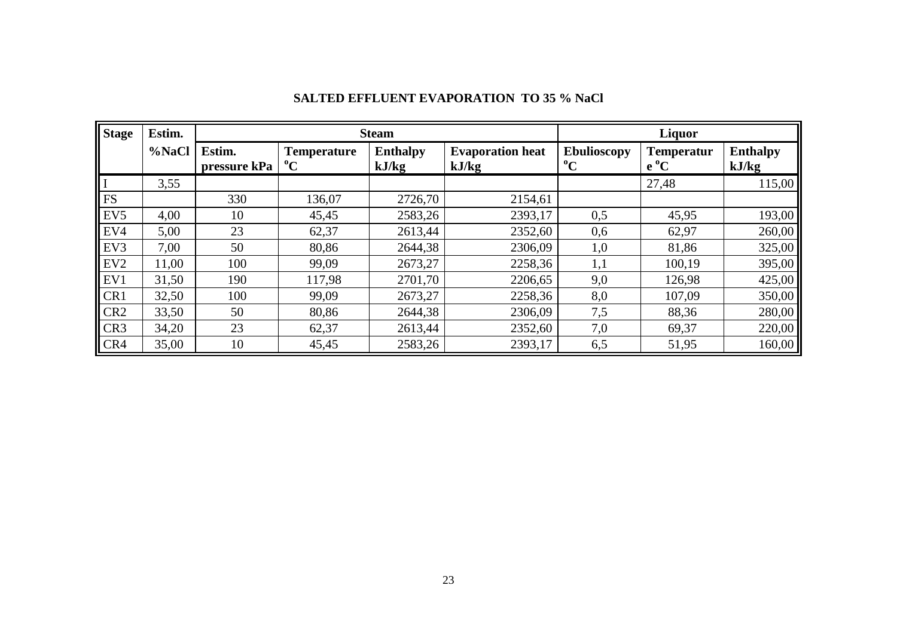| <b>Stage</b>    | Estim. |                        |                                   | <b>Steam</b>             |                                  | Liquor                            |                             |                          |  |  |  |
|-----------------|--------|------------------------|-----------------------------------|--------------------------|----------------------------------|-----------------------------------|-----------------------------|--------------------------|--|--|--|
|                 | %NaCl  | Estim.<br>pressure kPa | <b>Temperature</b><br>$\rm ^{o}C$ | <b>Enthalpy</b><br>kJ/kg | <b>Evaporation heat</b><br>kJ/kg | <b>Ebulioscopy</b><br>$\rm ^{o}C$ | <b>Temperatur</b><br>$e^oC$ | <b>Enthalpy</b><br>kJ/kg |  |  |  |
|                 | 3,55   |                        |                                   |                          |                                  |                                   | 27,48                       | 115,00                   |  |  |  |
| <b>FS</b>       |        | 330                    | 136,07                            | 2726,70                  | 2154,61                          |                                   |                             |                          |  |  |  |
| EV <sub>5</sub> | 4,00   | 10                     | 45,45                             | 2583,26                  | 2393,17                          | 0,5                               | 45,95                       | 193,00                   |  |  |  |
| EV4             | 5,00   | 23                     | 62,37                             | 2613,44                  | 2352,60                          | 0,6                               | 62,97                       | 260,00                   |  |  |  |
| EV3             | 7,00   | 50                     | 80,86                             | 2644,38                  | 2306,09                          | 1,0                               | 81,86                       | 325,00                   |  |  |  |
| EV <sub>2</sub> | 11,00  | 100                    | 99,09                             | 2673,27                  | 2258,36                          | 1,1                               | 100,19                      | 395,00                   |  |  |  |
| EV1             | 31,50  | 190                    | 117,98                            | 2701,70                  | 2206,65                          | 9,0                               | 126,98                      | 425,00                   |  |  |  |
| CR1             | 32,50  | 100                    | 99,09                             | 2673,27                  | 2258,36                          | 8,0                               | 107,09                      | 350,00                   |  |  |  |
| CR <sub>2</sub> | 33,50  | 50                     | 80,86                             | 2644,38                  | 2306,09                          | 7,5                               | 88,36                       | 280,00                   |  |  |  |
| CR <sub>3</sub> | 34,20  | 23                     | 62,37                             | 2613,44                  | 2352,60                          | 7,0                               | 69,37                       | 220,00                   |  |  |  |
| CR4             | 35,00  | 10                     | 45,45                             | 2583,26                  | 2393,17                          | 6,5                               | 51,95                       | 160,00                   |  |  |  |

### **SALTED EFFLUENT EVAPORATION TO 35 % NaCl**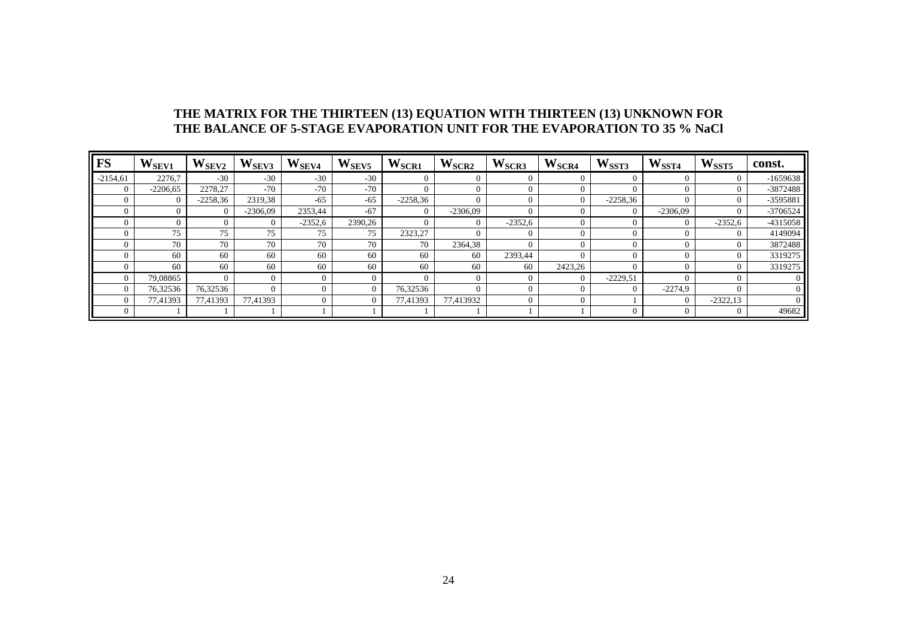#### **THE MATRIX FOR THE THIRTEEN (13) EQUATION WITH THIRTEEN (13) UNKNOWN FOR THE BALANCE OF 5-STAGE EVAPORATION UNIT FOR THE EVAPORATION TO 35 % NaCl**

| <b>FS</b>  | W <sub>SEV1</sub> | $\mathbf{W}_{\mathrm{SEV2}}$ | $W$ SEV3   | $\mathbf{W}_{\text{SEV4}}$ | $\mathbf{W}_{\text{SEV5}}$ | $W_{\text{SCR1}}$ | W <sub>SCR2</sub> | W <sub>SCR3</sub> | W <sub>SCR4</sub> | W <sub>SST3</sub> | W <sub>SST4</sub> | W <sub>SST5</sub> | const.     |
|------------|-------------------|------------------------------|------------|----------------------------|----------------------------|-------------------|-------------------|-------------------|-------------------|-------------------|-------------------|-------------------|------------|
| $-2154,61$ | 2276.7            | $-30$                        | $-30$      | $-30$                      | $-30$                      |                   | $\overline{0}$    |                   |                   |                   | $\Omega$          | $\Omega$          | $-1659638$ |
| $\left($   | $-2206,65$        | 2278,27                      | $-70$      | $-70$                      | $-70$                      | 0                 | $\Omega$          |                   |                   | $\Omega$          | $\Omega$          | $\Omega$          | -3872488   |
| $\Omega$   | $\Omega$          | $-2258,36$                   | 2319,38    | $-65$                      | $-65$                      | $-2258,36$        | $\overline{0}$    |                   |                   | $-2258,36$        | $\theta$          | $\overline{0}$    | -3595881   |
|            | $\Omega$          | $\Omega$                     | $-2306,09$ | 2353,44                    | $-67$                      | $\theta$          | $-2306,09$        |                   |                   | $\Omega$          | $-2306,09$        | $\overline{0}$    | -3706524   |
|            | 0                 | 0                            | $\Omega$   | $-2352,6$                  | 2390,26                    |                   | $\overline{0}$    | $-2352,6$         |                   | $\Omega$          | $\overline{0}$    | $-2352,6$         | -4315058   |
|            | 75                | 75                           | 75         | 75                         | 75                         | 2323,27           | $\Omega$          |                   |                   | $\Omega$          | $\Omega$          | $\Omega$          | 4149094    |
| 0          | 70                | 70                           | 70         | 70                         | 70                         | 70                | 2364,38           |                   |                   | $\Omega$          | $\Omega$          | $\overline{0}$    | 3872488    |
|            | 60                | 60                           | 60         | 60                         | 60                         | 60                | 60                | 2393,44           |                   | $\Omega$          | $\Omega$          | $\Omega$          | 3319275    |
|            | 60                | 60                           | 60         | 60                         | 60                         | 60                | 60                | 60                | 2423,26           | $\Omega$          | $\Omega$          | $\overline{0}$    | 3319275    |
|            | 79,08865          | $\Omega$                     | $\Omega$   | $\theta$                   |                            | 0                 | $\Omega$          | 0                 | $\Omega$          | $-2229,51$        | $\Omega$          | $\Omega$          | 0.         |
|            | 76,32536          | 76,32536                     |            | $\Omega$                   |                            | 76,32536          | $\Omega$          |                   |                   | $\Omega$          | $-2274.9$         | $\Omega$          |            |
|            | 77,41393          | 77,41393                     | 77,41393   |                            |                            | 77,41393          | 77,413932         |                   |                   |                   | $\Omega$          | $-2322,13$        |            |
|            |                   |                              |            |                            |                            |                   |                   |                   |                   | $\Omega$          | $\theta$          | $\overline{0}$    | 49682      |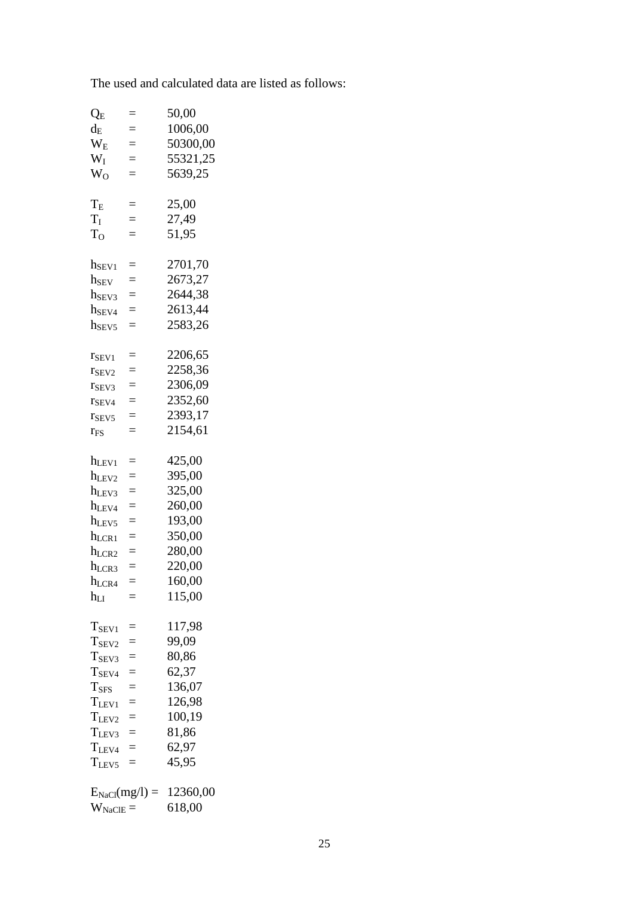The used and calculated data are listed as follows:

| $Q_{E}$            | $=$ | 50,00    |
|--------------------|-----|----------|
| $d_{E}$            | $=$ | 1006,00  |
| W <sub>E</sub>     | $=$ | 50300,00 |
| $W_I$              | $=$ | 55321,25 |
| W <sub>O</sub>     | $=$ | 5639,25  |
|                    |     |          |
| $\rm T_{E}$        | $=$ | 25,00    |
| $\rm T_I$          | $=$ | 27,49    |
| T <sub>o</sub>     | $=$ | 51,95    |
|                    |     |          |
| $h_{\rm SEV1}$     | $=$ | 2701,70  |
| $h_{SEV}$          | $=$ | 2673,27  |
| $h_{SEV3}$         | $=$ | 2644,38  |
|                    | $=$ | 2613,44  |
| $h_{SEV4}$         | $=$ |          |
| h <sub>SEV5</sub>  |     | 2583,26  |
|                    | $=$ | 2206,65  |
| $r_{SEV1}$         |     | 2258,36  |
| T <sub>SEV2</sub>  | $=$ |          |
| T <sub>SEV3</sub>  | $=$ | 2306,09  |
| $r_{SEV4}$         | $=$ | 2352,60  |
| T <sub>SEV5</sub>  | $=$ | 2393,17  |
| $r_{FS}$           | $=$ | 2154,61  |
|                    |     |          |
| $h_{LEV1}$         | $=$ | 425,00   |
| hLEV2              | $=$ | 395,00   |
| $h_{LEV3}$         | $=$ | 325,00   |
| $h_{LEV4}$         | $=$ | 260,00   |
| hLEV <sub>5</sub>  | $=$ | 193,00   |
| $h_{LCR1}$         | $=$ | 350,00   |
| $h_{LCR2}$         | $=$ | 280,00   |
| $h_{LCR3}$         | $=$ | 220,00   |
| $h_{LCR4}$         |     | 160,00   |
| $h_{LI}$           |     | 115,00   |
|                    |     |          |
| $T_{SEV1}$         | $=$ | 117,98   |
| T <sub>SEV2</sub>  |     | 99,09    |
| $T_{SEV3}$         | $=$ | 80,86    |
| $T_{SEV4}$         |     | 62,37    |
| T <sub>SFS</sub>   | $=$ | 136,07   |
| $T_{LEV1}$         | $=$ | 126,98   |
|                    |     | 100,19   |
| T <sub>LEV2</sub>  | $=$ | 81,86    |
| $T_{LEV3}$         | $=$ |          |
| $T_{LEV4}$         |     | 62,97    |
| $T_{LEV5}$         | $=$ | 45,95    |
|                    |     |          |
| $E_{NaCl}(mg/l) =$ |     | 12360,00 |
| $W_{\rm NaClE} =$  |     | 618,00   |
|                    |     |          |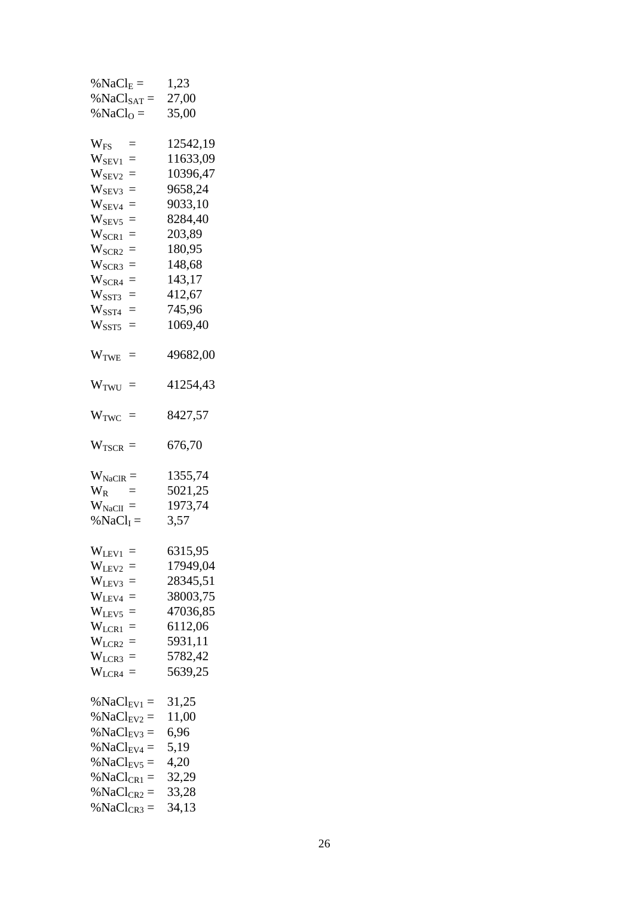| % $NaClE$ =                 | 1,23     |
|-----------------------------|----------|
| % $NaClSAT$ =               | 27,00    |
| % NaCl <sub>O</sub> =       | 35,00    |
|                             |          |
| $W_{FS}$<br>$=$             | 12542,19 |
| $W_{\rm SEV1}$<br>$=$       | 11633,09 |
| $\rm W_{SEV2}$<br>$=$       | 10396,47 |
| $\rm W_{SEV3}$<br>$=$       | 9658,24  |
| $W_{\rm SEV4}$<br>$=$       | 9033,10  |
| $W_{\rm SEV5}$<br>$=$       | 8284,40  |
| $\rm W_{\rm{SCR1}}$<br>$=$  | 203,89   |
| $W_{\rm{SCR2}}$<br>$=$      | 180,95   |
| $\rm W_{SCR3}$<br>$=$       | 148,68   |
| $\rm W_{SCR4}$<br>$=$       | 143,17   |
| $\rm W_{\rm SST3}$<br>$=$   | 412,67   |
| $\rm W_{\rm SST4}$<br>$=$   | 745,96   |
| $W_{\rm SST5}$<br>$=$       | 1069,40  |
|                             |          |
| $WTWE =$                    | 49682,00 |
|                             |          |
|                             | 41254,43 |
| $W_{TWU}$ =                 |          |
| $W_{\text{TWC}} =$          | 8427,57  |
|                             |          |
|                             | 676,70   |
| $W_{TSCR} =$                |          |
|                             |          |
| $W_{\text{NaCIR}} =$        | 1355,74  |
| $\rm W_R$                   | 5021,25  |
| $W_{\text{NaCII}} =$        | 1973,74  |
| % $\text{NaCl}_\text{I} =$  | 3,57     |
|                             |          |
| $W_{\text{LEV1}} =$         | 6315,95  |
| W <sub>LEV2</sub><br>$=$    | 17949,04 |
| W <sub>LEV3</sub><br>$=$    | 28345,51 |
| $\rm W_{LEV4}$<br>$=$       | 38003,75 |
| W <sub>LEV5</sub><br>$=$    | 47036,85 |
| $W_{LCR1}$<br>$=$           | 6112,06  |
| $W_{LCR2}$<br>$=$           | 5931,11  |
| $W_{LCR3}$<br>$=$           | 5782,42  |
| $\rm W_{LCR4}$<br>$=$       | 5639,25  |
|                             |          |
| % $NaCl_{EV1} =$            | 31,25    |
| %NaCl <sub>EV2</sub><br>$=$ | 11,00    |
| % $NaCl_{EV3} =$            | 6,96     |
| % $NaCl_{EV4} =$            | 5,19     |
| %NaCl <sub>EV5</sub><br>$=$ | 4,20     |
| %NaCl <sub>CR1</sub><br>$=$ | 32,29    |
| %NaCl <sub>CR2</sub><br>$=$ | 33,28    |
| %NaCl <sub>CR3</sub><br>$=$ | 34,13    |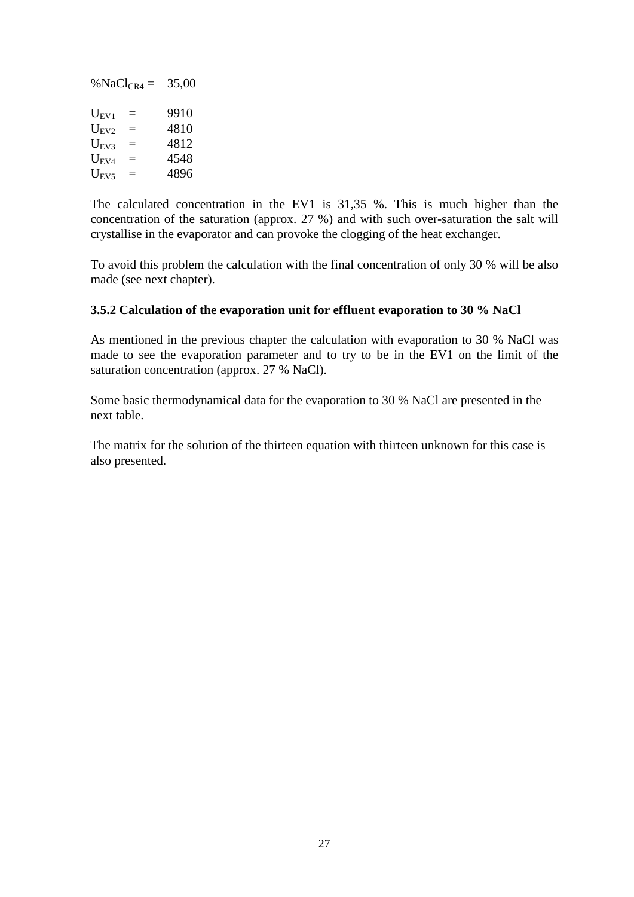% $NaCl_{CR4} = 35,00$  $U_{\text{EV1}}$  = 9910<br> $U_{\text{EV2}}$  = 4810  $U_{EV2}$  =  $U_{EV3}$  = 4812<br>  $U_{EV4}$  = 4548  $U_{EV4}$  =  $U_{EVS}$  = 4896

The calculated concentration in the EV1 is 31,35 %. This is much higher than the concentration of the saturation (approx. 27 %) and with such over-saturation the salt will crystallise in the evaporator and can provoke the clogging of the heat exchanger.

To avoid this problem the calculation with the final concentration of only 30 % will be also made (see next chapter).

### <span id="page-28-0"></span>**3.5.2 Calculation of the evaporation unit for effluent evaporation to 30 % NaCl**

As mentioned in the previous chapter the calculation with evaporation to 30 % NaCl was made to see the evaporation parameter and to try to be in the EV1 on the limit of the saturation concentration (approx. 27 % NaCl).

Some basic thermodynamical data for the evaporation to 30 % NaCl are presented in the next table.

The matrix for the solution of the thirteen equation with thirteen unknown for this case is also presented.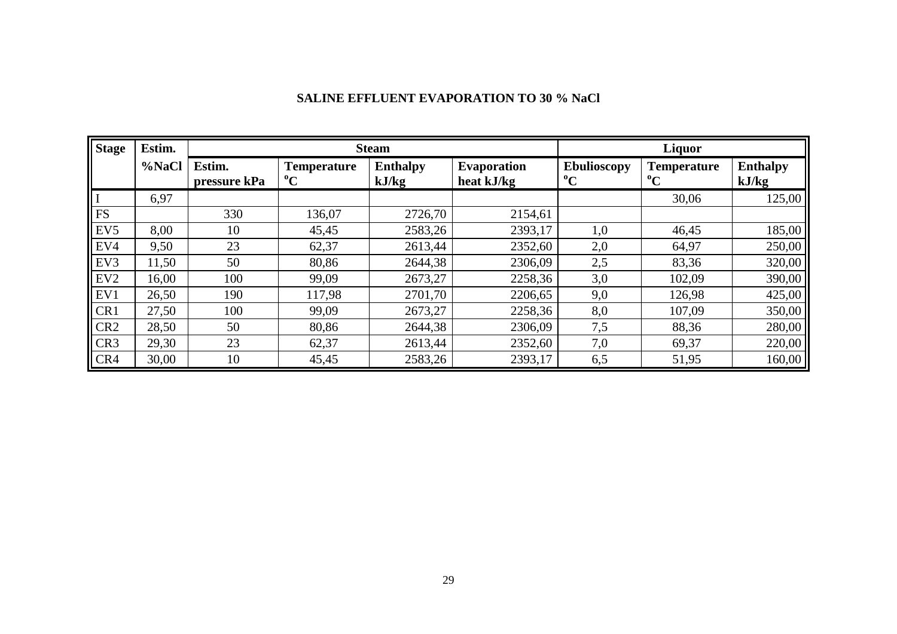# **SALINE EFFLUENT EVAPORATION TO 30 % NaCl**

| <b>Stage</b>    | Estim. |                        |                                   | <b>Steam</b>             | Liquor                           |                                   |                                   |                          |  |
|-----------------|--------|------------------------|-----------------------------------|--------------------------|----------------------------------|-----------------------------------|-----------------------------------|--------------------------|--|
|                 | %NaCl  | Estim.<br>pressure kPa | <b>Temperature</b><br>$\rm ^{o}C$ | <b>Enthalpy</b><br>kJ/kg | <b>Evaporation</b><br>heat kJ/kg | <b>Ebulioscopy</b><br>$\rm ^{o}C$ | <b>Temperature</b><br>$\rm ^{o}C$ | <b>Enthalpy</b><br>kJ/kg |  |
|                 | 6,97   |                        |                                   |                          |                                  |                                   | 30,06                             | 125,00                   |  |
| <b>FS</b>       |        | 330                    | 136,07                            | 2726,70                  | 2154,61                          |                                   |                                   |                          |  |
| EV <sub>5</sub> | 8,00   | 10                     | 45,45                             | 2583,26                  | 2393,17                          | 1,0                               | 46,45                             | 185,00                   |  |
| EV4             | 9,50   | 23                     | 62,37                             | 2613,44                  | 2352,60                          | 2,0                               | 64,97                             | 250,00                   |  |
| EV3             | 11,50  | 50                     | 80,86                             | 2644,38                  | 2306,09                          | 2,5                               | 83,36                             | 320,00                   |  |
| EV <sub>2</sub> | 16,00  | 100                    | 99,09                             | 2673,27                  | 2258,36                          | 3,0                               | 102,09                            | 390,00                   |  |
| EV1             | 26,50  | 190                    | 117,98                            | 2701,70                  | 2206,65                          | 9,0                               | 126,98                            | 425,00                   |  |
| CR1             | 27,50  | 100                    | 99,09                             | 2673,27                  | 2258,36                          | 8,0                               | 107,09                            | 350,00                   |  |
| CR <sub>2</sub> | 28,50  | 50                     | 80,86                             | 2644,38                  | 2306,09                          | 7,5                               | 88,36                             | 280,00                   |  |
| CR <sub>3</sub> | 29,30  | 23                     | 62,37                             | 2613,44                  | 2352,60                          | 7,0                               | 69,37                             | 220,00                   |  |
| CR4             | 30,00  | 10                     | 45,45                             | 2583,26                  | 2393,17                          | 6,5                               | 51,95                             | 160,00                   |  |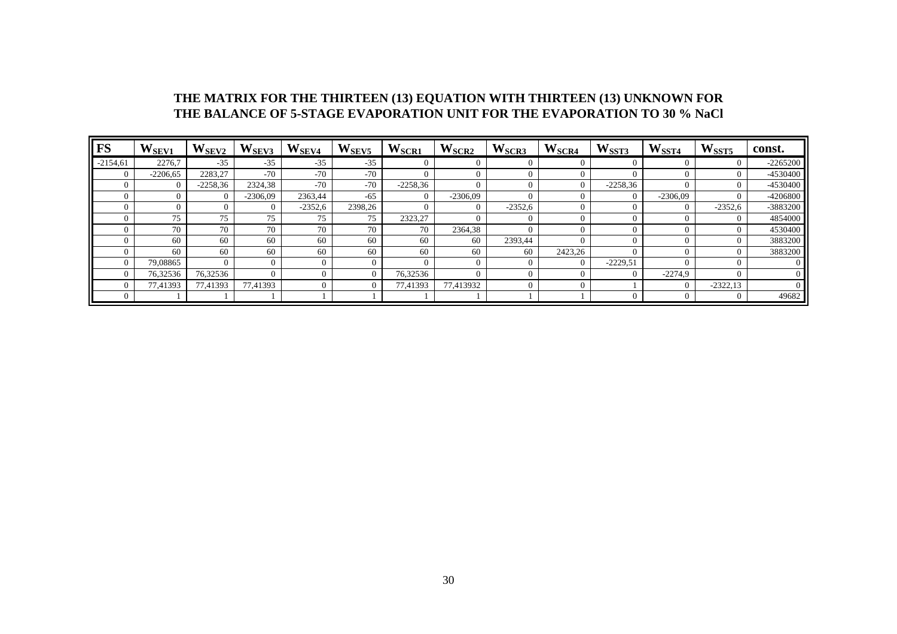#### **THE MATRIX FOR THE THIRTEEN (13) EQUATION WITH THIRTEEN (13) UNKNOWN FOR THE BALANCE OF 5-STAGE EVAPORATION UNIT FOR THE EVAPORATION TO 30 % NaCl**

| <b>FS</b>  | W <sub>SEV1</sub> | $\mathbf{W}_{\mathrm{SEV2}}$ | $\mathbf{W}_{\mathrm{SEV3}}$ | $W_{SEV4}$ | W <sub>SEV5</sub> | W <sub>SCR1</sub> | W <sub>SCR2</sub> | W <sub>SCR3</sub> | W <sub>SCR4</sub> | W <sub>SST3</sub> | W <sub>SST4</sub> | W <sub>SST5</sub> | const.         |
|------------|-------------------|------------------------------|------------------------------|------------|-------------------|-------------------|-------------------|-------------------|-------------------|-------------------|-------------------|-------------------|----------------|
| $-2154,61$ | 2276.7            | $-35$                        | $-35$                        | $-35$      | $-35$             |                   |                   |                   |                   | $\Omega$          |                   | 0                 | $-2265200$     |
| 0          | $-2206,65$        | 2283,27                      | $-70$                        | $-70$      | $-70$             | $\Omega$          |                   |                   |                   | $\Omega$          | $\Omega$          | $\Omega$          | -4530400       |
| 0          | $\Omega$          | $-2258,36$                   | 2324,38                      | $-70$      | $-70$             | $-2258,36$        |                   |                   |                   | $-2258,36$        | $\Omega$          | $\theta$          | -4530400       |
| $^{(1)}$   | 0                 | $\Omega$                     | $-2306,09$                   | 2363,44    | -65               | $\Omega$          | $-2306,09$        |                   |                   | $\Omega$          | $-2306,09$        | $\Omega$          | -4206800       |
| 0          |                   | 0                            |                              | $-2352,6$  | 2398,26           |                   |                   | $-2352,6$         |                   | $\theta$          | $\overline{0}$    | $-2352,6$         | -3883200       |
| 0          | 75                | 75                           | 75                           | 75         | 75                | 2323,27           |                   |                   |                   | $\Omega$          | $\Omega$          | $\Omega$          | 4854000        |
| 0          | 70                | 70                           | 70                           | 70         | 70                | 70                | 2364,38           |                   |                   | $\Omega$          |                   | $\overline{0}$    | 4530400        |
| 0          | 60                | 60                           | 60                           | 60         | 60                | 60                | 60                | 2393,44           |                   | $\Omega$          |                   | $\Omega$          | 3883200        |
| 0          | 60                | 60                           | 60                           | 60         | 60                | 60                | 60                | 60                | 2423,26           |                   | $\Omega$          | $\overline{0}$    | 3883200        |
| $\Omega$   | 79.08865          | $\Omega$                     |                              | $\Omega$   |                   | $\Omega$          |                   |                   | $\Omega$          | $-2229,51$        | $\Omega$          | $\Omega$          | 0              |
| $\Omega$   | 76,32536          | 76,32536                     |                              | $\Omega$   |                   | 76,32536          |                   |                   |                   | $\Omega$          | $-2274.9$         | $\Omega$          | $\overline{0}$ |
| 0          | 77,41393          | 77,41393                     | 77,41393                     |            |                   | 77,41393          | 77,413932         |                   |                   |                   | $\Omega$          | $-2322,13$        | $\Omega$       |
| 0          |                   |                              |                              |            |                   |                   |                   |                   |                   | $\theta$          | $\Omega$          | $\overline{0}$    | 49682          |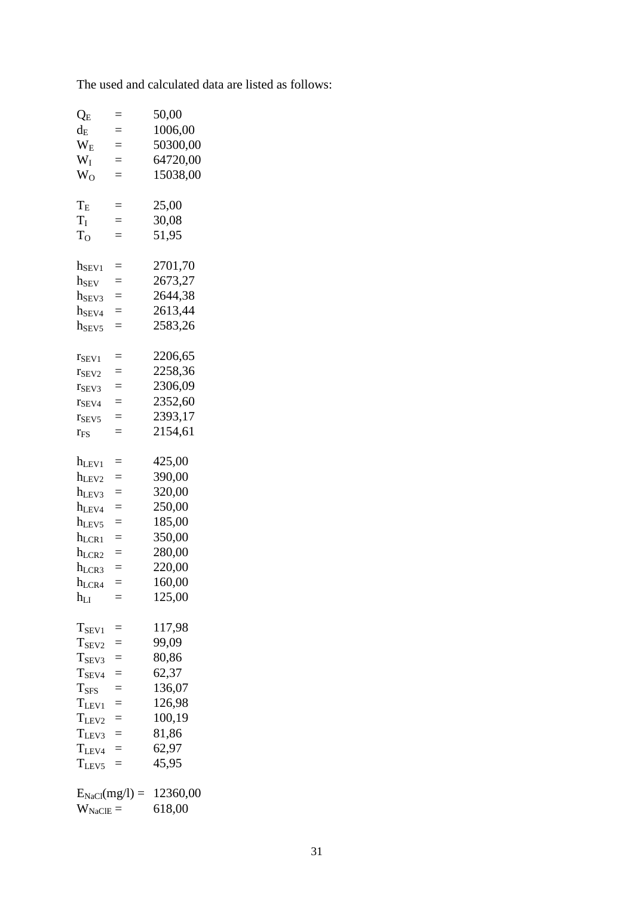The used and calculated data are listed as follows:

| $Q_{E}$                                                                                                                                                      | $=$                                                  | 50,00                                                                                            |
|--------------------------------------------------------------------------------------------------------------------------------------------------------------|------------------------------------------------------|--------------------------------------------------------------------------------------------------|
| $d_{\rm E}$                                                                                                                                                  | $=$                                                  | 1006,00                                                                                          |
| $W_{E}$                                                                                                                                                      | $=$                                                  | 50300,00                                                                                         |
| $W_I$                                                                                                                                                        | $=$                                                  | 64720,00                                                                                         |
| $W_O$                                                                                                                                                        | $=$                                                  | 15038,00                                                                                         |
| $T_{E}$                                                                                                                                                      | $=$                                                  | 25,00                                                                                            |
| $T_I$                                                                                                                                                        | $=$                                                  | 30,08                                                                                            |
| T <sub>o</sub>                                                                                                                                               | $=$                                                  | 51,95                                                                                            |
| $h_{\rm SEV1}$                                                                                                                                               | $=$                                                  | 2701,70                                                                                          |
| h <sub>SEV</sub>                                                                                                                                             | $=$                                                  | 2673,27                                                                                          |
| h <sub>SEV3</sub>                                                                                                                                            | $=$                                                  | 2644,38                                                                                          |
| h <sub>SEV4</sub>                                                                                                                                            | $=$                                                  | 2613,44                                                                                          |
| $h_{SEV5}$                                                                                                                                                   | $=$                                                  | 2583,26                                                                                          |
| $r_{SEV1}$                                                                                                                                                   | $=$                                                  | 2206,65                                                                                          |
| T <sub>SEV2</sub>                                                                                                                                            | $=$                                                  | 2258,36                                                                                          |
| $r_{SEV3}$                                                                                                                                                   | $=$                                                  | 2306,09                                                                                          |
| T <sub>SEV4</sub>                                                                                                                                            | $=$                                                  | 2352,60                                                                                          |
| $r_{SEV5}$                                                                                                                                                   | $=$                                                  | 2393,17                                                                                          |
| $r_{FS}$                                                                                                                                                     | $=$                                                  | 2154,61                                                                                          |
| $h_{\rm LEV1}$<br>hLEV2<br>$h$ <sub>LEV3</sub><br>h <sub>LEV4</sub><br>$h_{LEV5}$<br>$h_{LCR1}$<br>$h_{LCR2}$<br>h <sub>LCR3</sub><br>$h_{LCR4}$<br>$h_{LI}$ | $=$<br>$=$<br>$=$<br>$=$<br>$=$<br>$=$<br>$=$<br>$=$ | 425,00<br>390,00<br>320,00<br>250,00<br>185,00<br>350,00<br>280,00<br>220,00<br>160,00<br>125,00 |
| $T_{SEV1}$                                                                                                                                                   | $=$                                                  | 117,98                                                                                           |
| T <sub>SEV2</sub>                                                                                                                                            | $=$                                                  | 99,09                                                                                            |
| $T_{SEV3}$                                                                                                                                                   | $=$                                                  | 80,86                                                                                            |
| $T_{SEV4}$                                                                                                                                                   | $=$                                                  | 62,37                                                                                            |
| T <sub>SFS</sub>                                                                                                                                             | $=$                                                  | 136,07                                                                                           |
| $T_{LEV1}$                                                                                                                                                   | $=$                                                  | 126,98                                                                                           |
| $T_{LEV2}$                                                                                                                                                   | $=$                                                  | 100,19                                                                                           |
| $T_{LEV3}$                                                                                                                                                   | $=$                                                  | 81,86                                                                                            |
| $T_{LEV4}$                                                                                                                                                   | $=$                                                  | 62,97                                                                                            |
| $T_{LEV5}$                                                                                                                                                   | $=$                                                  | 45,95                                                                                            |
| $W_{\rm NaClE} =$                                                                                                                                            |                                                      | $E_{NaCl}(mg/l) = 12360,00$<br>618,00                                                            |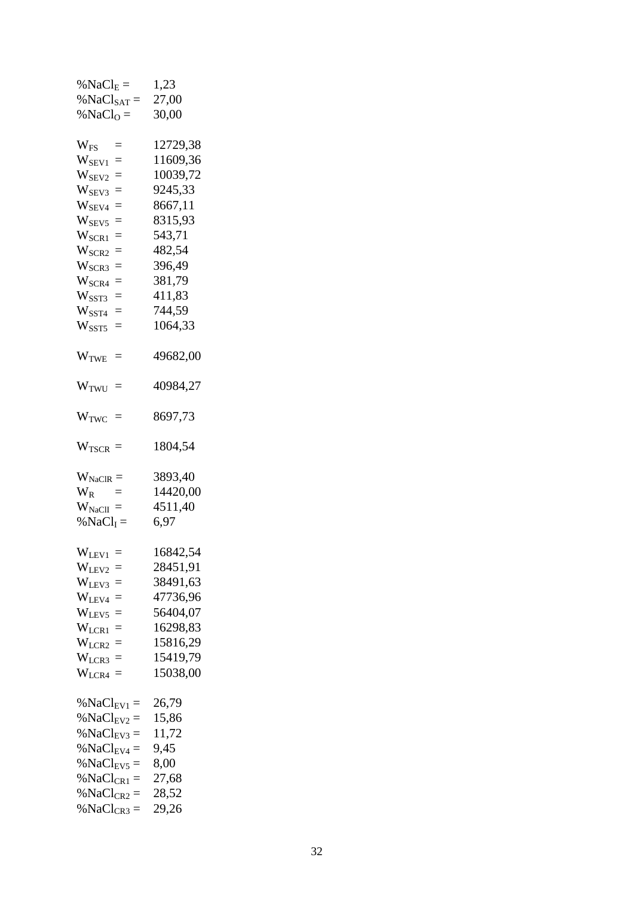| % $NaClE =$                 | 1,23     |
|-----------------------------|----------|
| % $NaClSAT =$               | 27,00    |
| % $NaClO =$                 | 30,00    |
|                             |          |
| $W_{FS}$<br>$=$             | 12729,38 |
| $W_{\rm SEV1}$<br>$=$       | 11609,36 |
| $W_{\rm SEV2}$<br>$=$       | 10039,72 |
| $W_{\rm SEV3}$<br>$=$       | 9245,33  |
| $W_{\rm SEV4}$<br>$=$       | 8667,11  |
| $\rm W_{SEV5}$<br>$=$       | 8315,93  |
| $\rm W_{\rm{SCR1}}$<br>$=$  | 543,71   |
| $W_{\rm{SCR2}}$<br>$=$      | 482,54   |
| $\rm W_{SCR3}$<br>$=$       | 396,49   |
| $\rm W_{SCR4}$<br>$=$       | 381,79   |
| $W_{\rm SST3}$<br>$=$       | 411,83   |
| $\rm W_{\rm SST4}$<br>$=$   | 744,59   |
| $W_{\rm SST5}$<br>$=$       | 1064,33  |
|                             |          |
| $\equiv$                    | 49682,00 |
| $\rm W_{TWE}$               |          |
|                             | 40984,27 |
| $W_{TWU}$ =                 |          |
|                             | 8697,73  |
| $W_{TWC}$ =                 |          |
|                             |          |
| $W_{TSCR} =$                | 1804,54  |
|                             |          |
| $W_{\text{NaCIR}} =$        | 3893,40  |
| $\rm W_R$                   | 14420,00 |
| $W_{\text{NaCII}} =$        | 4511,40  |
| % $NaClI =$                 | 6,97     |
|                             |          |
| $W_{LEV1}$ =                | 16842,54 |
| W <sub>LEV2</sub><br>$=$    | 28451,91 |
| W <sub>LEV3</sub><br>$=$    | 38491,63 |
| $W_{\rm LEV4}$<br>$=$       | 47736,96 |
| W <sub>LEV5</sub><br>$=$    | 56404,07 |
| $W_{LCR1}$<br>$=$           | 16298,83 |
| $W_{LCR2}$<br>$=$           | 15816,29 |
| $W_{LCR3}$<br>$=$           | 15419,79 |
| $\rm W_{LCR4}$<br>$=$       | 15038,00 |
|                             |          |
| % NaCl <sub>EV1</sub> =     | 26,79    |
| %NaCl <sub>EV2</sub><br>$=$ | 15,86    |
| % NaCl <sub>EV3</sub> =     | 11,72    |
| % $NaCl_{EV4} =$            | 9,45     |
| %NaCl <sub>EV5</sub><br>$=$ | 8,00     |
| %NaCl <sub>CR1</sub><br>$=$ | 27,68    |
| %NaCl <sub>CR2</sub><br>$=$ | 28,52    |
| %NaCl <sub>CR3</sub><br>$=$ | 29,26    |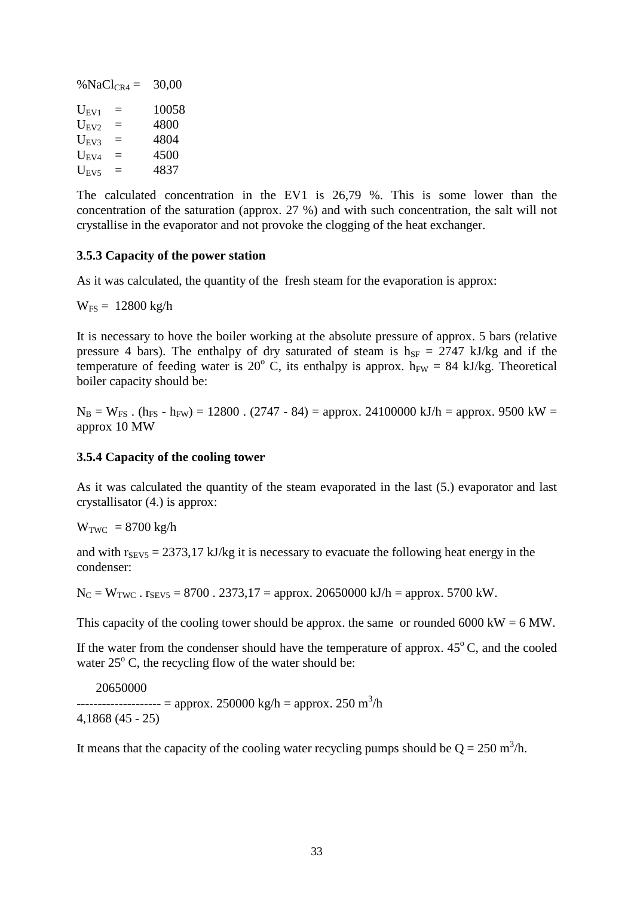|           | % NaCl <sub>CR4</sub> = | 30,00 |
|-----------|-------------------------|-------|
| $U_{EVI}$ | $\equiv$                | 10058 |
| $U_{EV2}$ | Ξ                       | 4800  |
| $U_{EV3}$ | Ξ                       | 4804  |
| $U_{EV4}$ | $\equiv$                | 4500  |
| $U_{EVS}$ | $=$                     | 4837  |

The calculated concentration in the EV1 is 26,79 %. This is some lower than the concentration of the saturation (approx. 27 %) and with such concentration, the salt will not crystallise in the evaporator and not provoke the clogging of the heat exchanger.

#### <span id="page-34-0"></span>**3.5.3 Capacity of the power station**

As it was calculated, the quantity of the fresh steam for the evaporation is approx:

 $W_{FS} = 12800 \text{ kg/h}$ 

It is necessary to hove the boiler working at the absolute pressure of approx. 5 bars (relative pressure 4 bars). The enthalpy of dry saturated of steam is  $h_{SF} = 2747 \text{ kJ/kg}$  and if the temperature of feeding water is 20 $^{\circ}$  C, its enthalpy is approx. h<sub>FW</sub> = 84 kJ/kg. Theoretical boiler capacity should be:

 $N_B = W_{FS}$ . (h<sub>FS</sub> - h<sub>FW</sub>) = 12800. (2747 - 84) = approx. 24100000 kJ/h = approx. 9500 kW = approx 10 MW

#### <span id="page-34-1"></span>**3.5.4 Capacity of the cooling tower**

As it was calculated the quantity of the steam evaporated in the last (5.) evaporator and last crystallisator (4.) is approx:

 $W_{TWC}$  = 8700 kg/h

and with  $r_{SEV5} = 2373,17$  kJ/kg it is necessary to evacuate the following heat energy in the condenser:

 $N_C = W_{TWC}$ .  $r_{SEV5} = 8700$ . 2373,17 = approx. 20650000 kJ/h = approx. 5700 kW.

This capacity of the cooling tower should be approx. the same or rounded  $6000 \text{ kW} = 6 \text{ MW}$ .

If the water from the condenser should have the temperature of approx.  $45^{\circ}$ C, and the cooled water  $25^{\circ}$  C, the recycling flow of the water should be:

20650000

-------------------- = approx. 250000 kg/h = approx. 250 m<sup>3</sup>/h 4,1868 (45 - 25)

It means that the capacity of the cooling water recycling pumps should be  $Q = 250$  m<sup>3</sup>/h.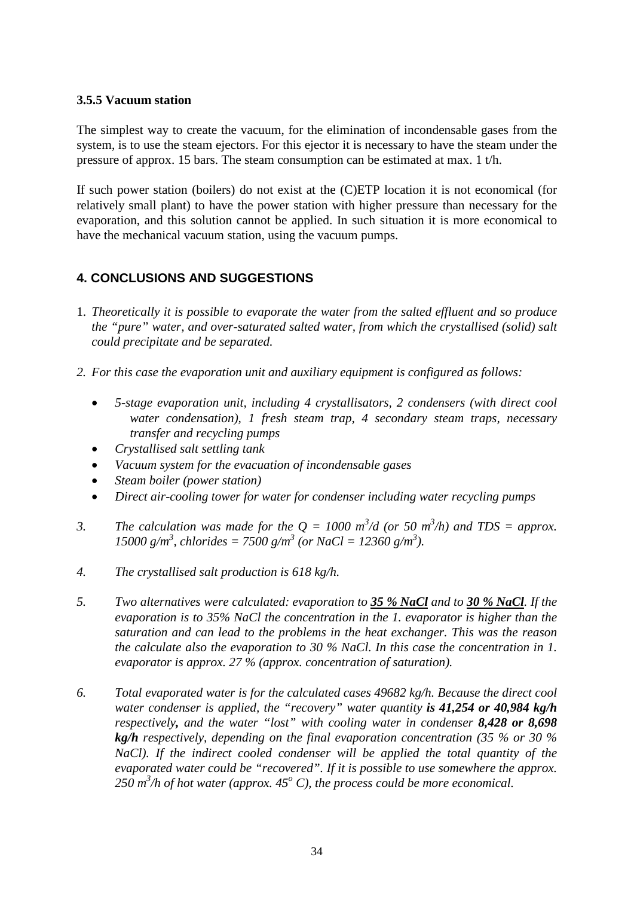### <span id="page-35-0"></span>**3.5.5 Vacuum station**

The simplest way to create the vacuum, for the elimination of incondensable gases from the system, is to use the steam ejectors. For this ejector it is necessary to have the steam under the pressure of approx. 15 bars. The steam consumption can be estimated at max. 1 t/h.

If such power station (boilers) do not exist at the (C)ETP location it is not economical (for relatively small plant) to have the power station with higher pressure than necessary for the evaporation, and this solution cannot be applied. In such situation it is more economical to have the mechanical vacuum station, using the vacuum pumps.

# <span id="page-35-1"></span>**4. CONCLUSIONS AND SUGGESTIONS**

- 1. *Theoretically it is possible to evaporate the water from the salted effluent and so produce the "pure" water, and over-saturated salted water, from which the crystallised (solid) salt could precipitate and be separated.*
- *2. For this case the evaporation unit and auxiliary equipment is configured as follows:*
	- *5-stage evaporation unit, including 4 crystallisators, 2 condensers (with direct cool water condensation), 1 fresh steam trap, 4 secondary steam traps, necessary transfer and recycling pumps*
	- *Crystallised salt settling tank*
	- *Vacuum system for the evacuation of incondensable gases*
	- *Steam boiler (power station)*
	- *Direct air-cooling tower for water for condenser including water recycling pumps*
- 3. *The calculation was made for the*  $Q = 1000 \text{ m}^3/\text{d}$  *(or 50 m<sup>3</sup>/h) and TDS = approx.*  $15000 \text{ g/m}^3$ , chlorides =  $7500 \text{ g/m}^3$  (or NaCl =  $12360 \text{ g/m}^3$ ).
- *4. The crystallised salt production is 618 kg/h.*
- *5. Two alternatives were calculated: evaporation to 35 % NaCl and to 30 % NaCl. If the evaporation is to 35% NaCl the concentration in the 1. evaporator is higher than the saturation and can lead to the problems in the heat exchanger. This was the reason the calculate also the evaporation to 30 % NaCl. In this case the concentration in 1. evaporator is approx. 27 % (approx. concentration of saturation).*
- *6. Total evaporated water is for the calculated cases 49682 kg/h. Because the direct cool water condenser is applied, the "recovery" water quantity is 41,254 or 40,984 kg/h respectively, and the water "lost" with cooling water in condenser 8,428 or 8,698 kg/h respectively, depending on the final evaporation concentration (35 % or 30 % NaCl). If the indirect cooled condenser will be applied the total quantity of the evaporated water could be "recovered". If it is possible to use somewhere the approx.*   $250$   $m^3$ /h of hot water (approx.  $45^\circ$  C), the process could be more economical.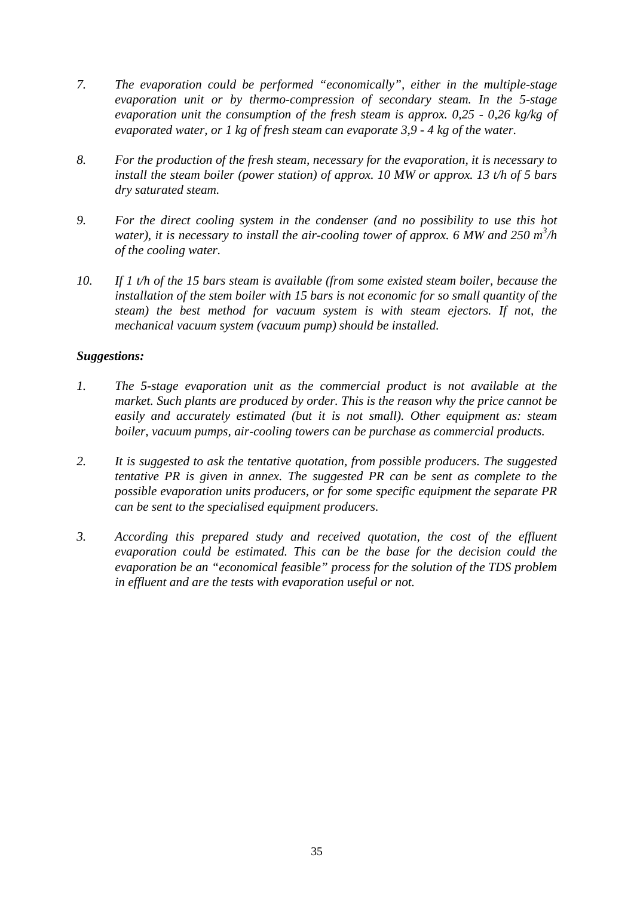- *7. The evaporation could be performed "economically", either in the multiple-stage evaporation unit or by thermo-compression of secondary steam. In the 5-stage evaporation unit the consumption of the fresh steam is approx. 0,25 - 0,26 kg/kg of evaporated water, or 1 kg of fresh steam can evaporate 3,9 - 4 kg of the water.*
- *8. For the production of the fresh steam, necessary for the evaporation, it is necessary to install the steam boiler (power station) of approx. 10 MW or approx. 13 t/h of 5 bars dry saturated steam.*
- *9. For the direct cooling system in the condenser (and no possibility to use this hot*  water), it is necessary to install the air-cooling tower of approx. 6 MW and 250 m<sup>3</sup>/h *of the cooling water.*
- *10. If 1 t/h of the 15 bars steam is available (from some existed steam boiler, because the installation of the stem boiler with 15 bars is not economic for so small quantity of the steam) the best method for vacuum system is with steam ejectors. If not, the mechanical vacuum system (vacuum pump) should be installed.*

### *Suggestions:*

- *1. The 5-stage evaporation unit as the commercial product is not available at the market. Such plants are produced by order. This is the reason why the price cannot be easily and accurately estimated (but it is not small). Other equipment as: steam boiler, vacuum pumps, air-cooling towers can be purchase as commercial products.*
- *2. It is suggested to ask the tentative quotation, from possible producers. The suggested tentative PR is given in annex. The suggested PR can be sent as complete to the possible evaporation units producers, or for some specific equipment the separate PR can be sent to the specialised equipment producers.*
- *3. According this prepared study and received quotation, the cost of the effluent evaporation could be estimated. This can be the base for the decision could the evaporation be an "economical feasible" process for the solution of the TDS problem in effluent and are the tests with evaporation useful or not.*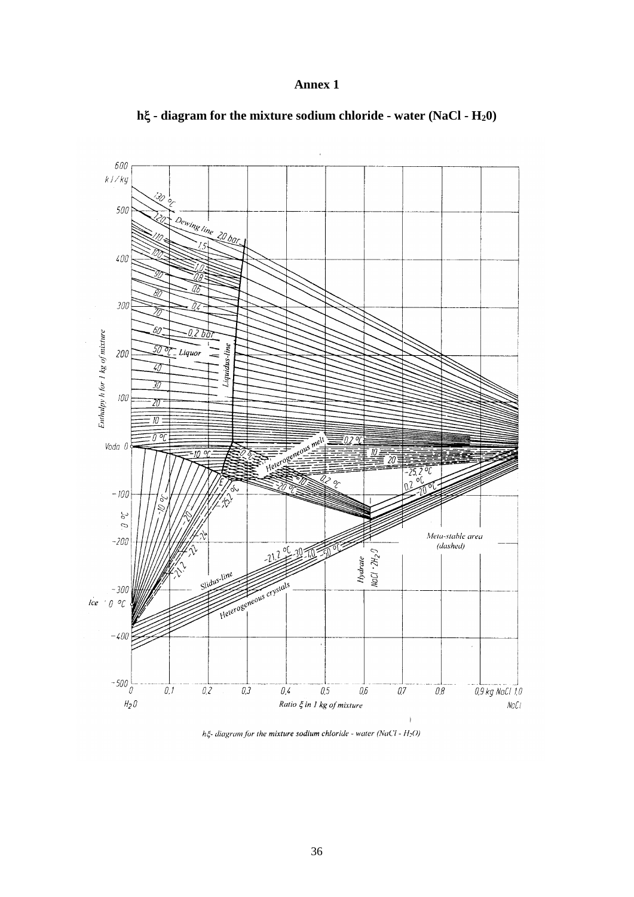#### **Annex 1**



# **h**ξ **- diagram for the mixture sodium chloride - water (NaCl - H20)**

 $h\xi$ - diagram for the mixture sodium chloride - water (NaCl -  $H_2$ O)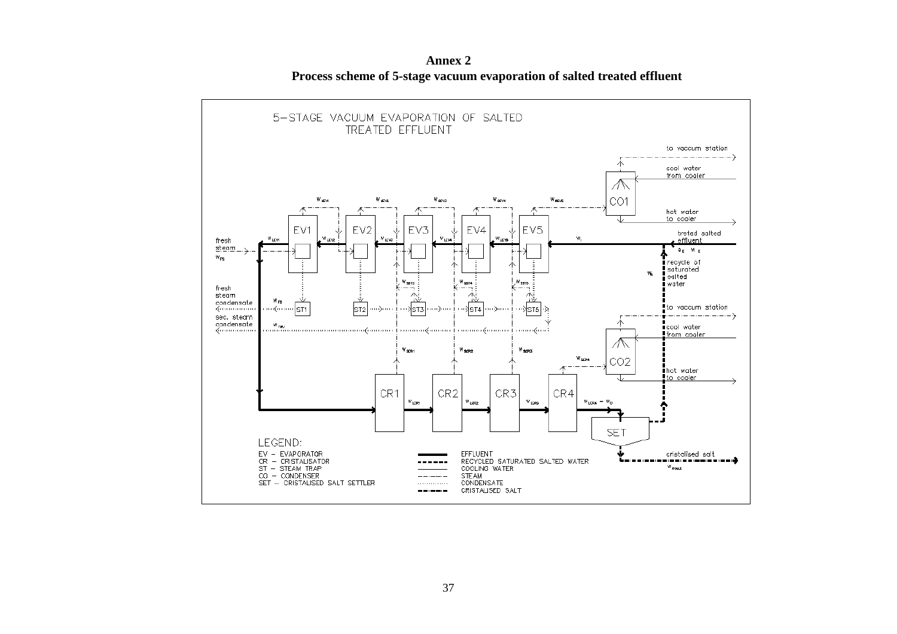

**Annex 2 Process scheme of 5-stage vacuum evaporation of salted treated effluent**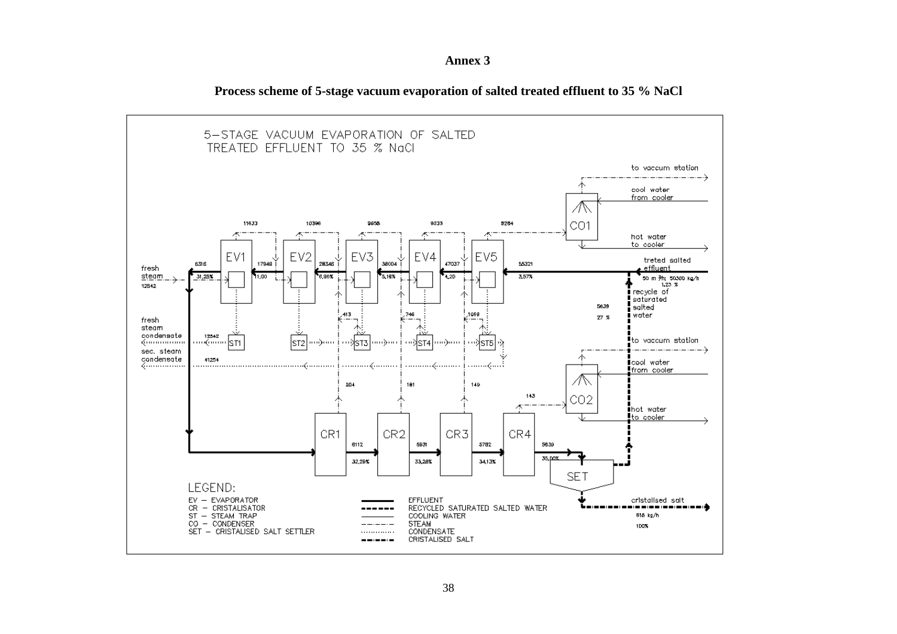

**Process scheme of 5-stage vacuum evaporation of salted treated effluent to 35 % NaCl**

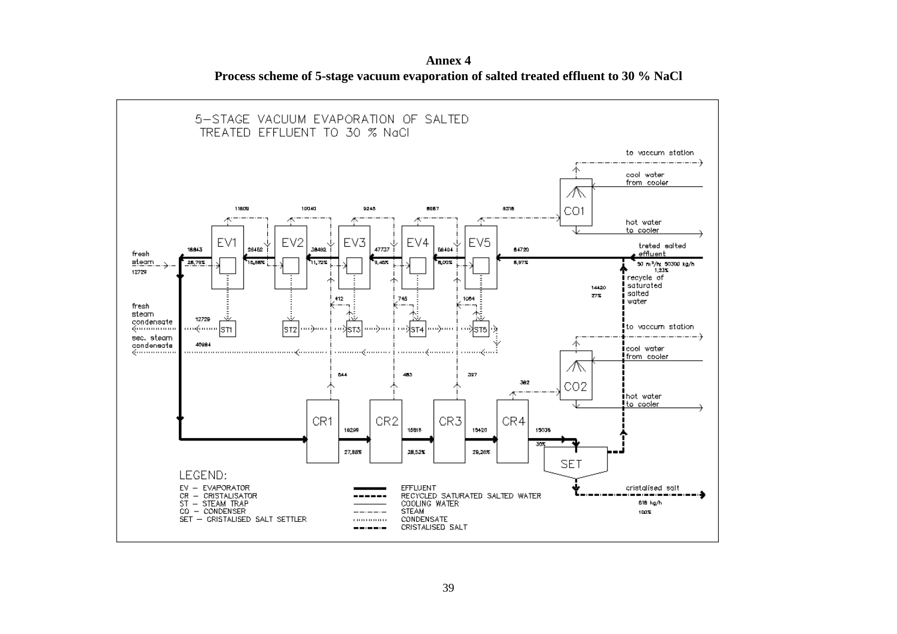**Annex 4 Process scheme of 5-stage vacuum evaporation of salted treated effluent to 30 % NaCl**

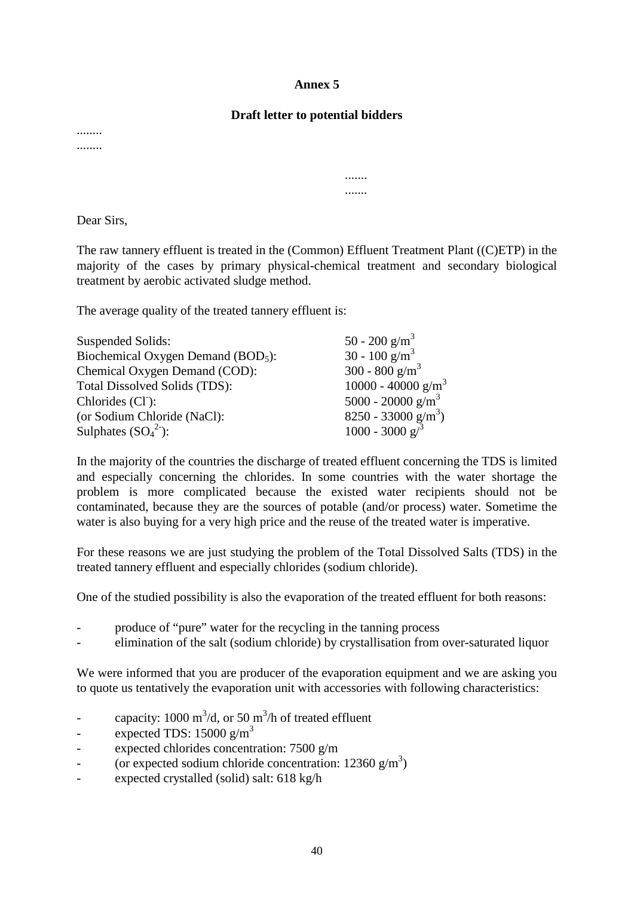#### **Annex 5**

#### **Draft letter to potential bidders**

....... .......

........ ........

Dear Sirs,

The raw tannery effluent is treated in the (Common) Effluent Treatment Plant ((C)ETP) in the majority of the cases by primary physical-chemical treatment and secondary biological treatment by aerobic activated sludge method.

The average quality of the treated tannery effluent is:

| $50 - 200$ g/m <sup>3</sup>       |
|-----------------------------------|
| 30 - 100 g/m <sup>3</sup>         |
| 300 - 800 g/m <sup>3</sup>        |
| 10000 - 40000 g/m <sup>3</sup>    |
| 5000 - 20000 g/m <sup>3</sup>     |
| $8250 - 33000$ g/m <sup>3</sup> ) |
| $1000 - 3000 g3$                  |
|                                   |

In the majority of the countries the discharge of treated effluent concerning the TDS is limited and especially concerning the chlorides. In some countries with the water shortage the problem is more complicated because the existed water recipients should not be contaminated, because they are the sources of potable (and/or process) water. Sometime the water is also buying for a very high price and the reuse of the treated water is imperative.

For these reasons we are just studying the problem of the Total Dissolved Salts (TDS) in the treated tannery effluent and especially chlorides (sodium chloride).

One of the studied possibility is also the evaporation of the treated effluent for both reasons:

- produce of "pure" water for the recycling in the tanning process
- elimination of the salt (sodium chloride) by crystallisation from over-saturated liquor

We were informed that you are producer of the evaporation equipment and we are asking you to quote us tentatively the evaporation unit with accessories with following characteristics:

- capacity:  $1000 \text{ m}^3/\text{d}$ , or 50 m<sup>3</sup>/h of treated effluent
- expected TDS:  $15000 \text{ g/m}^3$
- expected chlorides concentration:  $7500$  g/m
- (or expected sodium chloride concentration:  $12360 \text{ g/m}^3$ )
- expected crystalled (solid) salt: 618 kg/h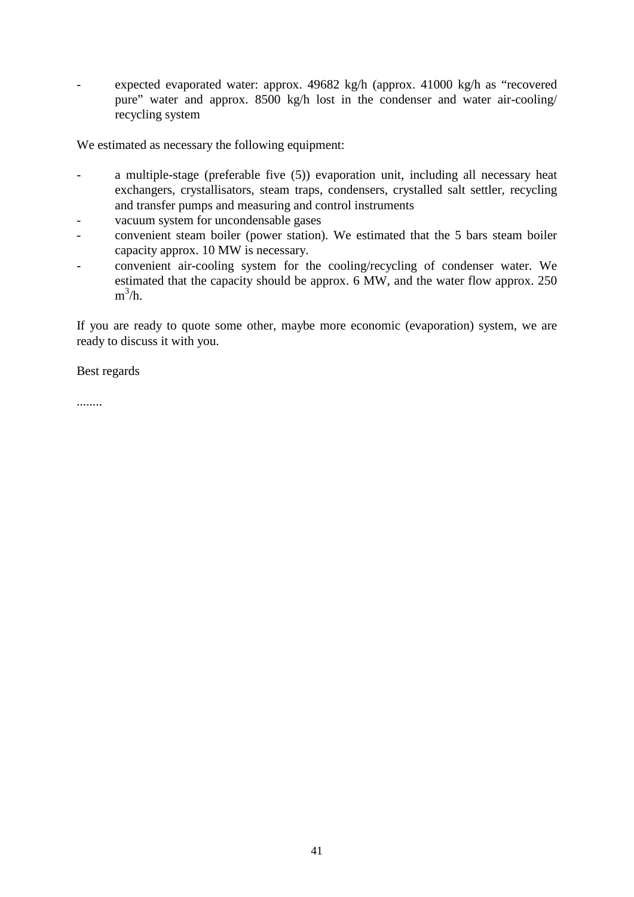expected evaporated water: approx. 49682 kg/h (approx. 41000 kg/h as "recovered pure" water and approx. 8500 kg/h lost in the condenser and water air-cooling/ recycling system

We estimated as necessary the following equipment:

- a multiple-stage (preferable five (5)) evaporation unit, including all necessary heat exchangers, crystallisators, steam traps, condensers, crystalled salt settler, recycling and transfer pumps and measuring and control instruments
- vacuum system for uncondensable gases
- convenient steam boiler (power station). We estimated that the 5 bars steam boiler capacity approx. 10 MW is necessary.
- convenient air-cooling system for the cooling/recycling of condenser water. We estimated that the capacity should be approx. 6 MW, and the water flow approx. 250  $m^3/h$ .

If you are ready to quote some other, maybe more economic (evaporation) system, we are ready to discuss it with you.

Best regards

........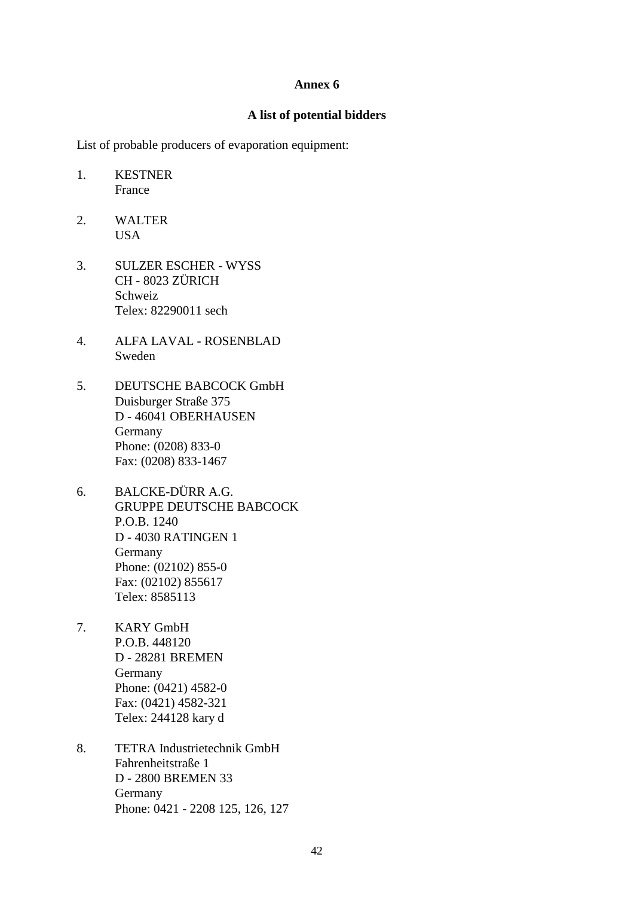#### **Annex 6**

#### **A list of potential bidders**

List of probable producers of evaporation equipment:

- 1. KESTNER France
- 2. WALTER USA
- 3. SULZER ESCHER WYSS CH - 8023 ZÜRICH Schweiz Telex: 82290011 sech
- 4. ALFA LAVAL ROSENBLAD Sweden
- 5. DEUTSCHE BABCOCK GmbH Duisburger Straße 375 D - 46041 OBERHAUSEN Germany Phone: (0208) 833-0 Fax: (0208) 833-1467
- 6. BALCKE-DÜRR A.G. GRUPPE DEUTSCHE BABCOCK P.O.B. 1240 D - 4030 RATINGEN 1 Germany Phone: (02102) 855-0 Fax: (02102) 855617 Telex: 8585113
- 7. KARY GmbH P.O.B. 448120 D - 28281 BREMEN Germany Phone: (0421) 4582-0 Fax: (0421) 4582-321 Telex: 244128 kary d
- 8. TETRA Industrietechnik GmbH Fahrenheitstraße 1 D - 2800 BREMEN 33 Germany Phone: 0421 - 2208 125, 126, 127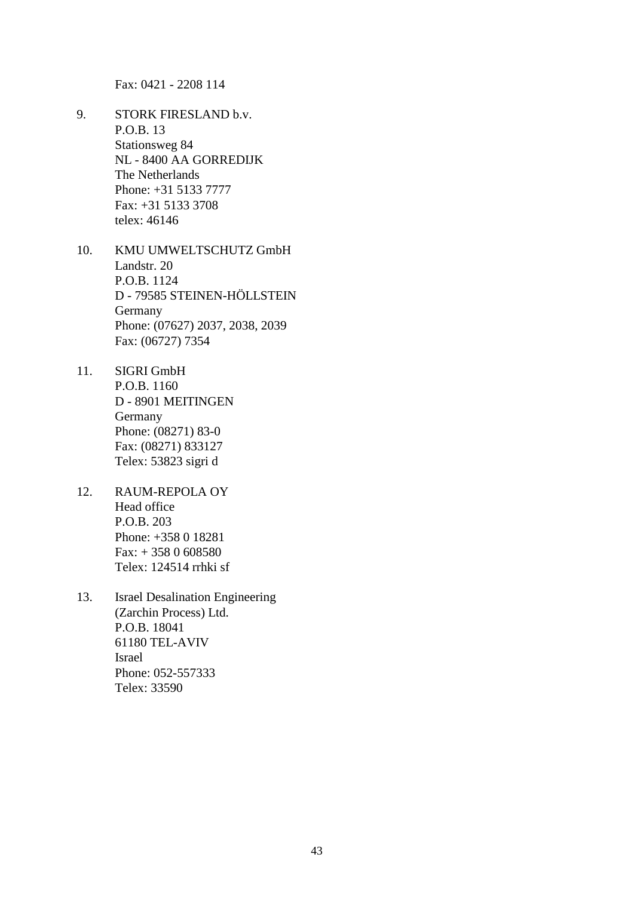Fax: 0421 - 2208 114

- 9. STORK FIRESLAND b.v. P.O.B. 13 Stationsweg 84 NL - 8400 AA GORREDIJK The Netherlands Phone: +31 5133 7777 Fax: +31 5133 3708 telex: 46146
- 10. KMU UMWELTSCHUTZ GmbH Landstr. 20 P.O.B. 1124 D - 79585 STEINEN-HÖLLSTEIN Germany Phone: (07627) 2037, 2038, 2039 Fax: (06727) 7354
- 11. SIGRI GmbH P.O.B. 1160 D - 8901 MEITINGEN Germany Phone: (08271) 83-0 Fax: (08271) 833127 Telex: 53823 sigri d
- 12. RAUM-REPOLA OY Head office P.O.B. 203 Phone: +358 0 18281 Fax: + 358 0 608580 Telex: 124514 rrhki sf
- 13. Israel Desalination Engineering (Zarchin Process) Ltd. P.O.B. 18041 61180 TEL-AVIV Israel Phone: 052-557333 Telex: 33590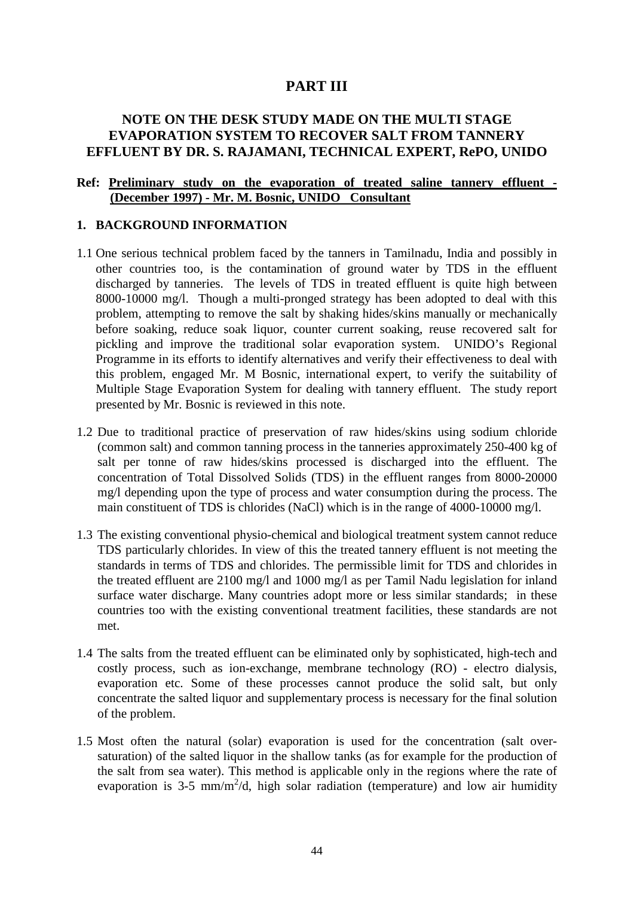# **PART III**

# **NOTE ON THE DESK STUDY MADE ON THE MULTI STAGE EVAPORATION SYSTEM TO RECOVER SALT FROM TANNERY EFFLUENT BY DR. S. RAJAMANI, TECHNICAL EXPERT, RePO, UNIDO**

### **Ref: Preliminary study on the evaporation of treated saline tannery effluent - (December 1997) - Mr. M. Bosnic, UNIDO Consultant**

#### **1. BACKGROUND INFORMATION**

- 1.1 One serious technical problem faced by the tanners in Tamilnadu, India and possibly in other countries too, is the contamination of ground water by TDS in the effluent discharged by tanneries. The levels of TDS in treated effluent is quite high between 8000-10000 mg/l. Though a multi-pronged strategy has been adopted to deal with this problem, attempting to remove the salt by shaking hides/skins manually or mechanically before soaking, reduce soak liquor, counter current soaking, reuse recovered salt for pickling and improve the traditional solar evaporation system. UNIDO's Regional Programme in its efforts to identify alternatives and verify their effectiveness to deal with this problem, engaged Mr. M Bosnic, international expert, to verify the suitability of Multiple Stage Evaporation System for dealing with tannery effluent. The study report presented by Mr. Bosnic is reviewed in this note.
- 1.2 Due to traditional practice of preservation of raw hides/skins using sodium chloride (common salt) and common tanning process in the tanneries approximately 250-400 kg of salt per tonne of raw hides/skins processed is discharged into the effluent. The concentration of Total Dissolved Solids (TDS) in the effluent ranges from 8000-20000 mg/l depending upon the type of process and water consumption during the process. The main constituent of TDS is chlorides (NaCl) which is in the range of 4000-10000 mg/l.
- 1.3 The existing conventional physio-chemical and biological treatment system cannot reduce TDS particularly chlorides. In view of this the treated tannery effluent is not meeting the standards in terms of TDS and chlorides. The permissible limit for TDS and chlorides in the treated effluent are 2100 mg/l and 1000 mg/l as per Tamil Nadu legislation for inland surface water discharge. Many countries adopt more or less similar standards; in these countries too with the existing conventional treatment facilities, these standards are not met.
- 1.4 The salts from the treated effluent can be eliminated only by sophisticated, high-tech and costly process, such as ion-exchange, membrane technology (RO) - electro dialysis, evaporation etc. Some of these processes cannot produce the solid salt, but only concentrate the salted liquor and supplementary process is necessary for the final solution of the problem.
- 1.5 Most often the natural (solar) evaporation is used for the concentration (salt oversaturation) of the salted liquor in the shallow tanks (as for example for the production of the salt from sea water). This method is applicable only in the regions where the rate of evaporation is 3-5 mm/m<sup>2</sup>/d, high solar radiation (temperature) and low air humidity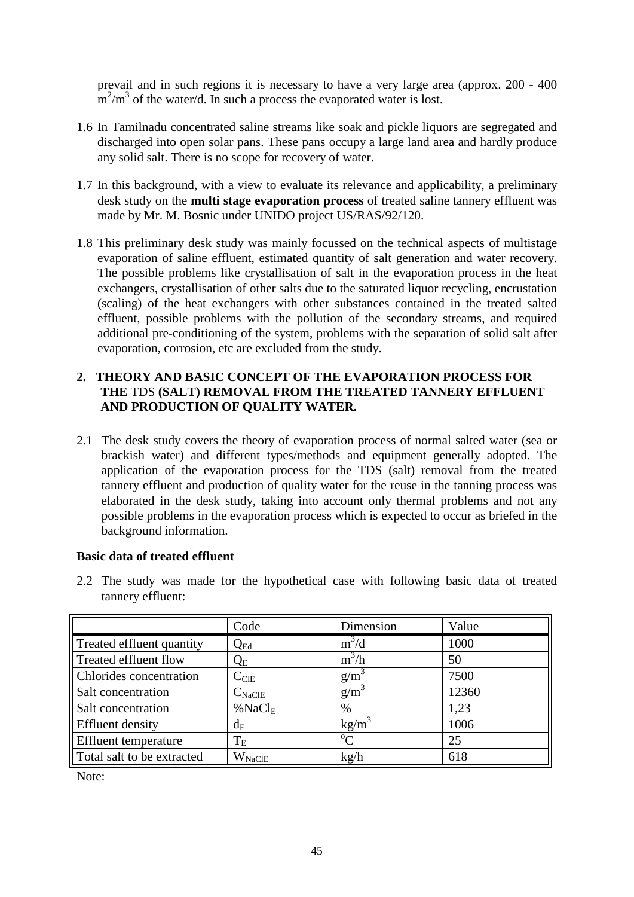prevail and in such regions it is necessary to have a very large area (approx. 200 - 400  $m^2/m^3$  of the water/d. In such a process the evaporated water is lost.

- 1.6 In Tamilnadu concentrated saline streams like soak and pickle liquors are segregated and discharged into open solar pans. These pans occupy a large land area and hardly produce any solid salt. There is no scope for recovery of water.
- 1.7 In this background, with a view to evaluate its relevance and applicability, a preliminary desk study on the **multi stage evaporation process** of treated saline tannery effluent was made by Mr. M. Bosnic under UNIDO project US/RAS/92/120.
- 1.8 This preliminary desk study was mainly focussed on the technical aspects of multistage evaporation of saline effluent, estimated quantity of salt generation and water recovery. The possible problems like crystallisation of salt in the evaporation process in the heat exchangers, crystallisation of other salts due to the saturated liquor recycling, encrustation (scaling) of the heat exchangers with other substances contained in the treated salted effluent, possible problems with the pollution of the secondary streams, and required additional pre-conditioning of the system, problems with the separation of solid salt after evaporation, corrosion, etc are excluded from the study.

### **2. THEORY AND BASIC CONCEPT OF THE EVAPORATION PROCESS FOR THE** TDS **(SALT) REMOVAL FROM THE TREATED TANNERY EFFLUENT AND PRODUCTION OF QUALITY WATER.**

2.1 The desk study covers the theory of evaporation process of normal salted water (sea or brackish water) and different types/methods and equipment generally adopted. The application of the evaporation process for the TDS (salt) removal from the treated tannery effluent and production of quality water for the reuse in the tanning process was elaborated in the desk study, taking into account only thermal problems and not any possible problems in the evaporation process which is expected to occur as briefed in the background information.

### **Basic data of treated effluent**

2.2 The study was made for the hypothetical case with following basic data of treated tannery effluent:

|                             | Code               | Dimension        | Value |
|-----------------------------|--------------------|------------------|-------|
| Treated effluent quantity   | $Q_{Ed}$           | $m^3/d$          | 1000  |
| Treated effluent flow       | $Q_{\rm E}$        | $m^3/h$          | 50    |
| Chlorides concentration     | $C_{\text{CIE}}$   | $g/m^3$          | 7500  |
| Salt concentration          | $C_{\rm NaClE}$    | g/m <sup>3</sup> | 12360 |
| Salt concentration          | %NaCl <sub>E</sub> | %                | 1,23  |
| Effluent density            | $d_E$              | $kg/m^3$         | 1006  |
| <b>Effluent</b> temperature | $T_{\rm E}$        | $\rm ^{o}C$      | 25    |
| Total salt to be extracted  | $W_{\text{NaCIE}}$ | kg/h             | 618   |

Note: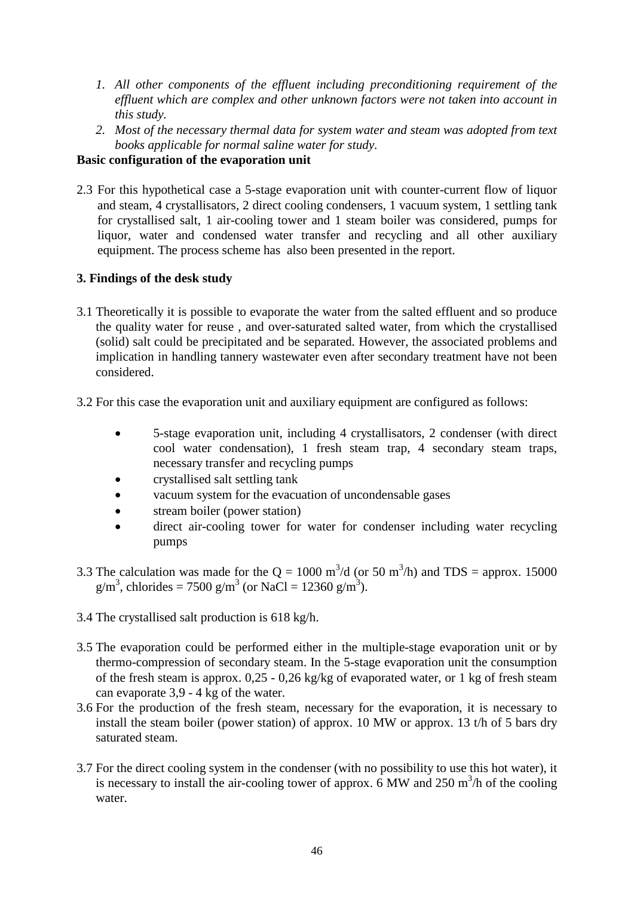- *1. All other components of the effluent including preconditioning requirement of the effluent which are complex and other unknown factors were not taken into account in this study.*
- *2. Most of the necessary thermal data for system water and steam was adopted from text books applicable for normal saline water for study.*

# **Basic configuration of the evaporation unit**

2.3 For this hypothetical case a 5-stage evaporation unit with counter-current flow of liquor and steam, 4 crystallisators, 2 direct cooling condensers, 1 vacuum system, 1 settling tank for crystallised salt, 1 air-cooling tower and 1 steam boiler was considered, pumps for liquor, water and condensed water transfer and recycling and all other auxiliary equipment. The process scheme has also been presented in the report.

# **3. Findings of the desk study**

- 3.1 Theoretically it is possible to evaporate the water from the salted effluent and so produce the quality water for reuse , and over-saturated salted water, from which the crystallised (solid) salt could be precipitated and be separated. However, the associated problems and implication in handling tannery wastewater even after secondary treatment have not been considered.
- 3.2 For this case the evaporation unit and auxiliary equipment are configured as follows:
	- 5-stage evaporation unit, including 4 crystallisators, 2 condenser (with direct cool water condensation), 1 fresh steam trap, 4 secondary steam traps, necessary transfer and recycling pumps
	- crystallised salt settling tank
	- vacuum system for the evacuation of uncondensable gases
	- stream boiler (power station)
	- direct air-cooling tower for water for condenser including water recycling pumps
- 3.3 The calculation was made for the  $Q = 1000 \text{ m}^3/\text{d}$  (or 50 m<sup>3</sup>/h) and TDS = approx. 15000  $g/m<sup>3</sup>$ , chlorides = 7500  $g/m<sup>3</sup>$  (or NaCl = 12360  $g/m<sup>3</sup>$ ).
- 3.4 The crystallised salt production is 618 kg/h.
- 3.5 The evaporation could be performed either in the multiple-stage evaporation unit or by thermo-compression of secondary steam. In the 5-stage evaporation unit the consumption of the fresh steam is approx. 0,25 - 0,26 kg/kg of evaporated water, or 1 kg of fresh steam can evaporate 3,9 - 4 kg of the water.
- 3.6 For the production of the fresh steam, necessary for the evaporation, it is necessary to install the steam boiler (power station) of approx. 10 MW or approx. 13 t/h of 5 bars dry saturated steam.
- 3.7 For the direct cooling system in the condenser (with no possibility to use this hot water), it is necessary to install the air-cooling tower of approx.  $6$  MW and  $250$  m<sup>3</sup>/h of the cooling water.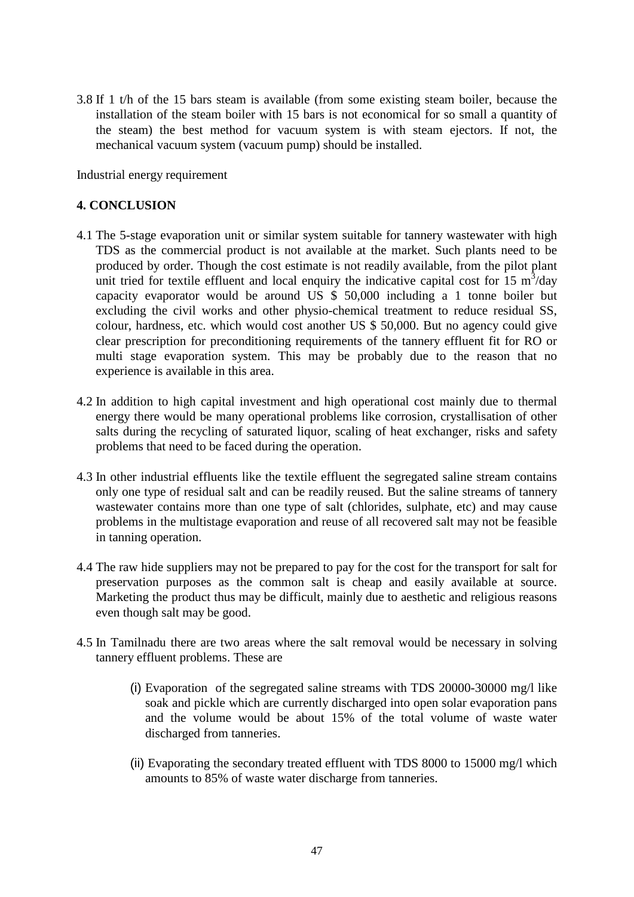3.8 If 1 t/h of the 15 bars steam is available (from some existing steam boiler, because the installation of the steam boiler with 15 bars is not economical for so small a quantity of the steam) the best method for vacuum system is with steam ejectors. If not, the mechanical vacuum system (vacuum pump) should be installed.

Industrial energy requirement

#### **4. CONCLUSION**

- 4.1 The 5-stage evaporation unit or similar system suitable for tannery wastewater with high TDS as the commercial product is not available at the market. Such plants need to be produced by order. Though the cost estimate is not readily available, from the pilot plant unit tried for textile effluent and local enquiry the indicative capital cost for 15  $m^3$ /day capacity evaporator would be around US \$ 50,000 including a 1 tonne boiler but excluding the civil works and other physio-chemical treatment to reduce residual SS, colour, hardness, etc. which would cost another US \$ 50,000. But no agency could give clear prescription for preconditioning requirements of the tannery effluent fit for RO or multi stage evaporation system. This may be probably due to the reason that no experience is available in this area.
- 4.2 In addition to high capital investment and high operational cost mainly due to thermal energy there would be many operational problems like corrosion, crystallisation of other salts during the recycling of saturated liquor, scaling of heat exchanger, risks and safety problems that need to be faced during the operation.
- 4.3 In other industrial effluents like the textile effluent the segregated saline stream contains only one type of residual salt and can be readily reused. But the saline streams of tannery wastewater contains more than one type of salt (chlorides, sulphate, etc) and may cause problems in the multistage evaporation and reuse of all recovered salt may not be feasible in tanning operation.
- 4.4 The raw hide suppliers may not be prepared to pay for the cost for the transport for salt for preservation purposes as the common salt is cheap and easily available at source. Marketing the product thus may be difficult, mainly due to aesthetic and religious reasons even though salt may be good.
- 4.5 In Tamilnadu there are two areas where the salt removal would be necessary in solving tannery effluent problems. These are
	- (i) Evaporation of the segregated saline streams with TDS 20000-30000 mg/l like soak and pickle which are currently discharged into open solar evaporation pans and the volume would be about 15% of the total volume of waste water discharged from tanneries.
	- (ii) Evaporating the secondary treated effluent with TDS 8000 to 15000 mg/l which amounts to 85% of waste water discharge from tanneries.